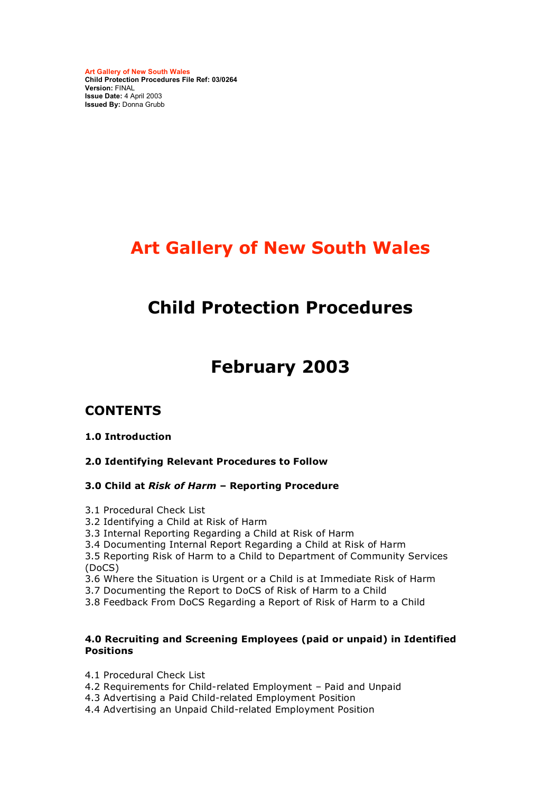**Art Gallery of New South Wales Child Protection Procedures File Ref: 03/0264 Version:** FINAL **Issue Date:** 4 April 2003 **Issued By:** Donna Grubb

# **Art Gallery of New South Wales**

# **Child Protection Procedures**

# **February 2003**

# **CONTENTS**

#### **1.0 Introduction**

#### **2.0 Identifying Relevant Procedures to Follow**

#### **3.0 Child at** *Risk of Harm* **– Reporting Procedure**

- 3.1 Procedural Check List
- 3.2 Identifying a Child at Risk of Harm
- 3.3 Internal Reporting Regarding a Child at Risk of Harm
- 3.4 Documenting Internal Report Regarding a Child at Risk of Harm

3.5 Reporting Risk of Harm to a Child to Department of Community Services (DoCS)

3.6 Where the Situation is Urgent or a Child is at Immediate Risk of Harm

- 3.7 Documenting the Report to DoCS of Risk of Harm to a Child
- 3.8 Feedback From DoCS Regarding a Report of Risk of Harm to a Child

#### **4.0 Recruiting and Screening Employees (paid or unpaid) in Identified Positions**

- 4.1 Procedural Check List
- 4.2 Requirements for Child-related Employment Paid and Unpaid
- 4.3 Advertising a Paid Child-related Employment Position
- 4.4 Advertising an Unpaid Child-related Employment Position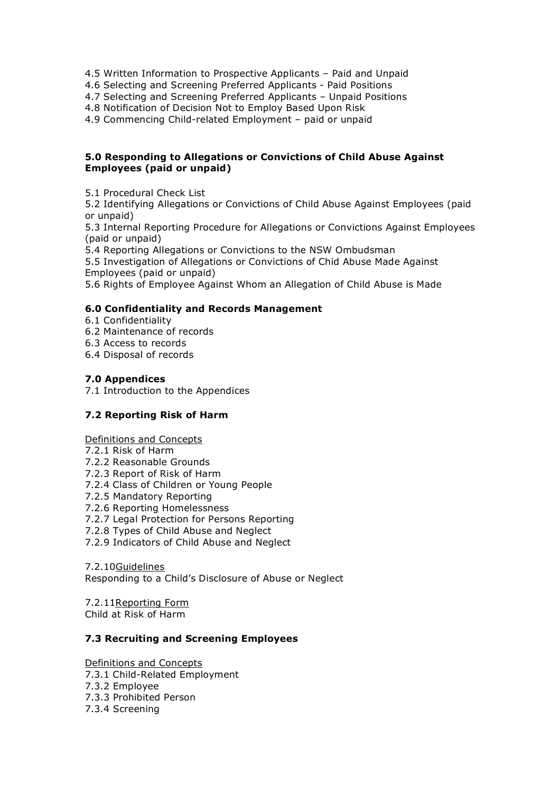- 4.5 Written Information to Prospective Applicants Paid and Unpaid
- 4.6 Selecting and Screening Preferred Applicants Paid Positions
- 4.7 Selecting and Screening Preferred Applicants Unpaid Positions

4.8 Notification of Decision Not to Employ Based Upon Risk

4.9 Commencing Child-related Employment – paid or unpaid

#### **5.0 Responding to Allegations or Convictions of Child Abuse Against Employees (paid or unpaid)**

5.1 Procedural Check List

5.2 Identifying Allegations or Convictions of Child Abuse Against Employees (paid or unpaid)

5.3 Internal Reporting Procedure for Allegations or Convictions Against Employees (paid or unpaid)

5.4 Reporting Allegations or Convictions to the NSW Ombudsman

5.5 Investigation of Allegations or Convictions of Chid Abuse Made Against Employees (paid or unpaid)

5.6 Rights of Employee Against Whom an Allegation of Child Abuse is Made

#### **6.0 Confidentiality and Records Management**

- 6.1 Confidentiality
- 6.2 Maintenance of records
- 6.3 Access to records
- 6.4 Disposal of records

#### **7.0 Appendices**

7.1 Introduction to the Appendices

#### **7.2 Reporting Risk of Harm**

#### Definitions and Concepts

- 7.2.1 Risk of Harm
- 7.2.2 Reasonable Grounds
- 7.2.3 Report of Risk of Harm
- 7.2.4 Class of Children or Young People
- 7.2.5 Mandatory Reporting
- 7.2.6 Reporting Homelessness
- 7.2.7 Legal Protection for Persons Reporting
- 7.2.8 Types of Child Abuse and Neglect
- 7.2.9 Indicators of Child Abuse and Neglect

7.2.10Guidelines

Responding to a Child's Disclosure of Abuse or Neglect

7.2.11Reporting Form Child at Risk of Harm

#### **7.3 Recruiting and Screening Employees**

Definitions and Concepts 7.3.1 Child-Related Employment 7.3.2 Employee 7.3.3 Prohibited Person

7.3.4 Screening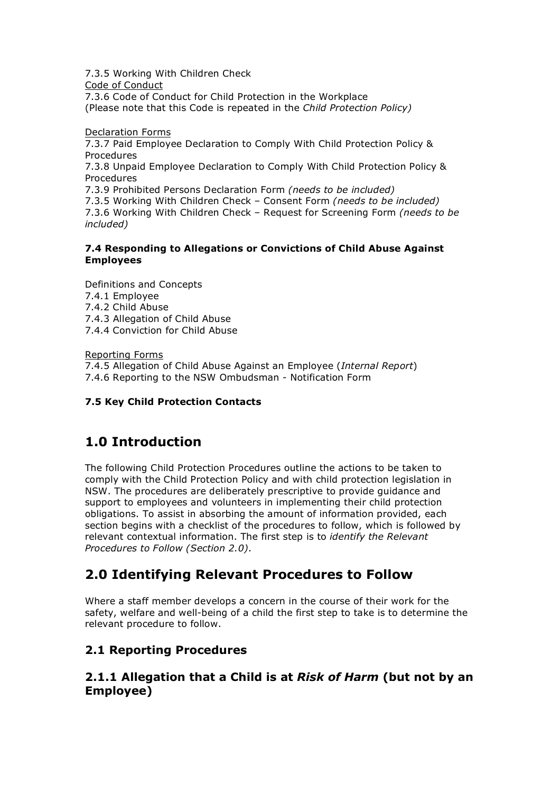7.3.5 Working With Children Check Code of Conduct 7.3.6 Code of Conduct for Child Protection in the Workplace (Please note that this Code is repeated in the *Child Protection Policy)*

Declaration Forms

7.3.7 Paid Employee Declaration to Comply With Child Protection Policy & Procedures 7.3.8 Unpaid Employee Declaration to Comply With Child Protection Policy & Procedures 7.3.9 Prohibited Persons Declaration Form *(needs to be included)* 7.3.5 Working With Children Check – Consent Form *(needs to be included)* 7.3.6 Working With Children Check – Request for Screening Form *(needs to be included)*

#### **7.4 Responding to Allegations or Convictions of Child Abuse Against Employees**

Definitions and Concepts 7.4.1 Employee 7.4.2 Child Abuse 7.4.3 Allegation of Child Abuse 7.4.4 Conviction for Child Abuse

Reporting Forms 7.4.5 Allegation of Child Abuse Against an Employee (*Internal Report*) 7.4.6 Reporting to the NSW Ombudsman - Notification Form

#### **7.5 Key Child Protection Contacts**

# **1.0 Introduction**

The following Child Protection Procedures outline the actions to be taken to comply with the Child Protection Policy and with child protection legislation in NSW. The procedures are deliberately prescriptive to provide guidance and support to employees and volunteers in implementing their child protection obligations. To assist in absorbing the amount of information provided, each section begins with a checklist of the procedures to follow, which is followed by relevant contextual information. The first step is to *identify the Relevant Procedures to Follow (Section 2.0)*.

# **2.0 Identifying Relevant Procedures to Follow**

Where a staff member develops a concern in the course of their work for the safety, welfare and well-being of a child the first step to take is to determine the relevant procedure to follow.

# **2.1 Reporting Procedures**

### **2.1.1 Allegation that a Child is at** *Risk of Harm* **(but not by an Employee)**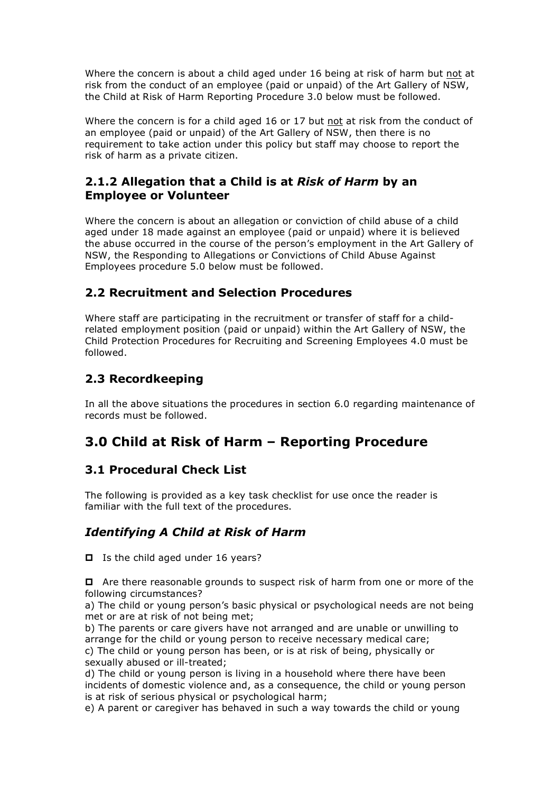Where the concern is about a child aged under 16 being at risk of harm but not at risk from the conduct of an employee (paid or unpaid) of the Art Gallery of NSW, the Child at Risk of Harm Reporting Procedure 3.0 below must be followed.

Where the concern is for a child aged 16 or 17 but not at risk from the conduct of an employee (paid or unpaid) of the Art Gallery of NSW, then there is no requirement to take action under this policy but staff may choose to report the risk of harm as a private citizen.

### **2.1.2 Allegation that a Child is at** *Risk of Harm* **by an Employee or Volunteer**

Where the concern is about an allegation or conviction of child abuse of a child aged under 18 made against an employee (paid or unpaid) where it is believed the abuse occurred in the course of the person's employment in the Art Gallery of NSW, the Responding to Allegations or Convictions of Child Abuse Against Employees procedure 5.0 below must be followed.

### **2.2 Recruitment and Selection Procedures**

Where staff are participating in the recruitment or transfer of staff for a childrelated employment position (paid or unpaid) within the Art Gallery of NSW, the Child Protection Procedures for Recruiting and Screening Employees 4.0 must be followed.

# **2.3 Recordkeeping**

In all the above situations the procedures in section 6.0 regarding maintenance of records must be followed.

# **3.0 Child at Risk of Harm – Reporting Procedure**

# **3.1 Procedural Check List**

The following is provided as a key task checklist for use once the reader is familiar with the full text of the procedures.

# *Identifying A Child at Risk of Harm*

 $\Box$  Is the child aged under 16 years?

□ Are there reasonable grounds to suspect risk of harm from one or more of the following circumstances?

a) The child or young person's basic physical or psychological needs are not being met or are at risk of not being met;

b) The parents or care givers have not arranged and are unable or unwilling to arrange for the child or young person to receive necessary medical care;

c) The child or young person has been, or is at risk of being, physically or sexually abused or ill-treated;

d) The child or young person is living in a household where there have been incidents of domestic violence and, as a consequence, the child or young person is at risk of serious physical or psychological harm;

e) A parent or caregiver has behaved in such a way towards the child or young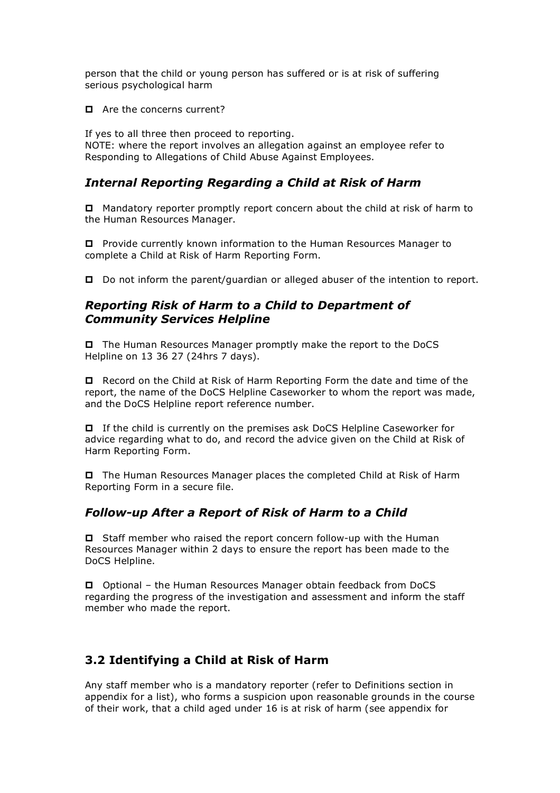person that the child or young person has suffered or is at risk of suffering serious psychological harm

Are the concerns current?

If yes to all three then proceed to reporting. NOTE: where the report involves an allegation against an employee refer to Responding to Allegations of Child Abuse Against Employees.

### *Internal Reporting Regarding a Child at Risk of Harm*

 Mandatory reporter promptly report concern about the child at risk of harm to the Human Resources Manager.

 Provide currently known information to the Human Resources Manager to complete a Child at Risk of Harm Reporting Form.

Do not inform the parent/guardian or alleged abuser of the intention to report.

### *Reporting Risk of Harm to a Child to Department of Community Services Helpline*

 The Human Resources Manager promptly make the report to the DoCS Helpline on 13 36 27 (24hrs 7 days).

 Record on the Child at Risk of Harm Reporting Form the date and time of the report, the name of the DoCS Helpline Caseworker to whom the report was made, and the DoCS Helpline report reference number.

 If the child is currently on the premises ask DoCS Helpline Caseworker for advice regarding what to do, and record the advice given on the Child at Risk of Harm Reporting Form.

 The Human Resources Manager places the completed Child at Risk of Harm Reporting Form in a secure file.

### *Follow-up After a Report of Risk of Harm to a Child*

 $\Box$  Staff member who raised the report concern follow-up with the Human Resources Manager within 2 days to ensure the report has been made to the DoCS Helpline.

 Optional – the Human Resources Manager obtain feedback from DoCS regarding the progress of the investigation and assessment and inform the staff member who made the report.

# **3.2 Identifying a Child at Risk of Harm**

Any staff member who is a mandatory reporter (refer to Definitions section in appendix for a list), who forms a suspicion upon reasonable grounds in the course of their work, that a child aged under 16 is at risk of harm (see appendix for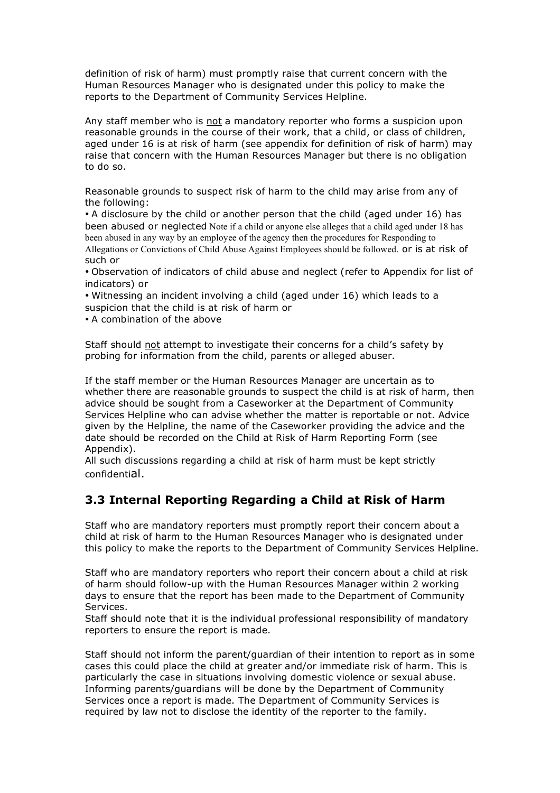definition of risk of harm) must promptly raise that current concern with the Human Resources Manager who is designated under this policy to make the reports to the Department of Community Services Helpline.

Any staff member who is not a mandatory reporter who forms a suspicion upon reasonable grounds in the course of their work, that a child, or class of children, aged under 16 is at risk of harm (see appendix for definition of risk of harm) may raise that concern with the Human Resources Manager but there is no obligation to do so.

Reasonable grounds to suspect risk of harm to the child may arise from any of the following:

• A disclosure by the child or another person that the child (aged under 16) has been abused or neglected Note if a child or anyone else alleges that a child aged under 18 has been abused in any way by an employee of the agency then the procedures for Responding to Allegations or Convictions of Child Abuse Against Employees should be followed. or is at risk of such or

• Observation of indicators of child abuse and neglect (refer to Appendix for list of indicators) or

• Witnessing an incident involving a child (aged under 16) which leads to a suspicion that the child is at risk of harm or

• A combination of the above

Staff should not attempt to investigate their concerns for a child's safety by probing for information from the child, parents or alleged abuser.

If the staff member or the Human Resources Manager are uncertain as to whether there are reasonable grounds to suspect the child is at risk of harm, then advice should be sought from a Caseworker at the Department of Community Services Helpline who can advise whether the matter is reportable or not. Advice given by the Helpline, the name of the Caseworker providing the advice and the date should be recorded on the Child at Risk of Harm Reporting Form (see Appendix).

All such discussions regarding a child at risk of harm must be kept strictly confidential.

### **3.3 Internal Reporting Regarding a Child at Risk of Harm**

Staff who are mandatory reporters must promptly report their concern about a child at risk of harm to the Human Resources Manager who is designated under this policy to make the reports to the Department of Community Services Helpline.

Staff who are mandatory reporters who report their concern about a child at risk of harm should follow-up with the Human Resources Manager within 2 working days to ensure that the report has been made to the Department of Community Services.

Staff should note that it is the individual professional responsibility of mandatory reporters to ensure the report is made.

Staff should not inform the parent/guardian of their intention to report as in some cases this could place the child at greater and/or immediate risk of harm. This is particularly the case in situations involving domestic violence or sexual abuse. Informing parents/guardians will be done by the Department of Community Services once a report is made. The Department of Community Services is required by law not to disclose the identity of the reporter to the family.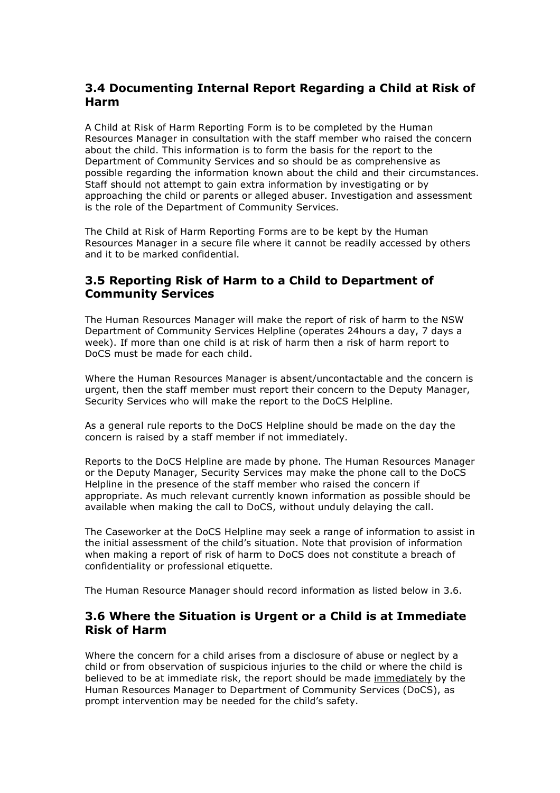### **3.4 Documenting Internal Report Regarding a Child at Risk of Harm**

A Child at Risk of Harm Reporting Form is to be completed by the Human Resources Manager in consultation with the staff member who raised the concern about the child. This information is to form the basis for the report to the Department of Community Services and so should be as comprehensive as possible regarding the information known about the child and their circumstances. Staff should not attempt to gain extra information by investigating or by approaching the child or parents or alleged abuser. Investigation and assessment is the role of the Department of Community Services.

The Child at Risk of Harm Reporting Forms are to be kept by the Human Resources Manager in a secure file where it cannot be readily accessed by others and it to be marked confidential.

### **3.5 Reporting Risk of Harm to a Child to Department of Community Services**

The Human Resources Manager will make the report of risk of harm to the NSW Department of Community Services Helpline (operates 24hours a day, 7 days a week). If more than one child is at risk of harm then a risk of harm report to DoCS must be made for each child.

Where the Human Resources Manager is absent/uncontactable and the concern is urgent, then the staff member must report their concern to the Deputy Manager, Security Services who will make the report to the DoCS Helpline.

As a general rule reports to the DoCS Helpline should be made on the day the concern is raised by a staff member if not immediately.

Reports to the DoCS Helpline are made by phone. The Human Resources Manager or the Deputy Manager, Security Services may make the phone call to the DoCS Helpline in the presence of the staff member who raised the concern if appropriate. As much relevant currently known information as possible should be available when making the call to DoCS, without unduly delaying the call.

The Caseworker at the DoCS Helpline may seek a range of information to assist in the initial assessment of the child's situation. Note that provision of information when making a report of risk of harm to DoCS does not constitute a breach of confidentiality or professional etiquette.

The Human Resource Manager should record information as listed below in 3.6.

#### **3.6 Where the Situation is Urgent or a Child is at Immediate Risk of Harm**

Where the concern for a child arises from a disclosure of abuse or neglect by a child or from observation of suspicious injuries to the child or where the child is believed to be at immediate risk, the report should be made immediately by the Human Resources Manager to Department of Community Services (DoCS), as prompt intervention may be needed for the child's safety.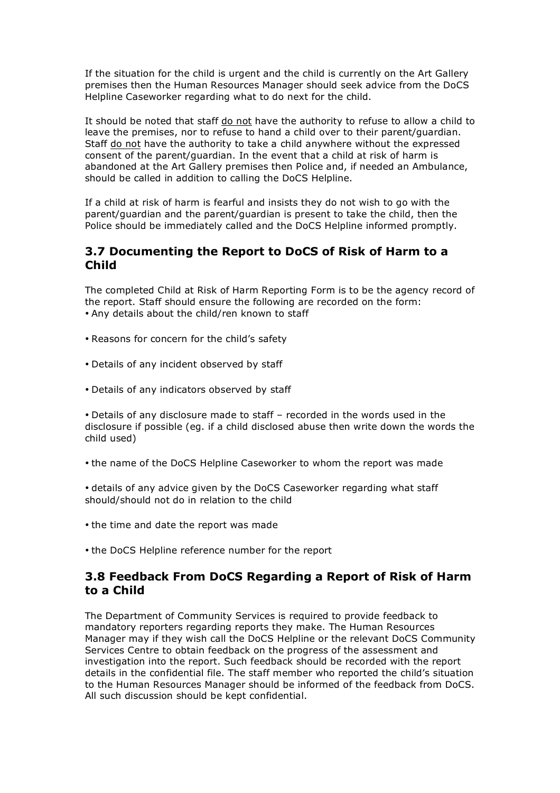If the situation for the child is urgent and the child is currently on the Art Gallery premises then the Human Resources Manager should seek advice from the DoCS Helpline Caseworker regarding what to do next for the child.

It should be noted that staff do not have the authority to refuse to allow a child to leave the premises, nor to refuse to hand a child over to their parent/guardian. Staff do not have the authority to take a child anywhere without the expressed consent of the parent/guardian. In the event that a child at risk of harm is abandoned at the Art Gallery premises then Police and, if needed an Ambulance, should be called in addition to calling the DoCS Helpline.

If a child at risk of harm is fearful and insists they do not wish to go with the parent/guardian and the parent/guardian is present to take the child, then the Police should be immediately called and the DoCS Helpline informed promptly.

### **3.7 Documenting the Report to DoCS of Risk of Harm to a Child**

The completed Child at Risk of Harm Reporting Form is to be the agency record of the report. Staff should ensure the following are recorded on the form: • Any details about the child/ren known to staff

- Reasons for concern for the child's safety
- Details of any incident observed by staff
- Details of any indicators observed by staff

• Details of any disclosure made to staff – recorded in the words used in the disclosure if possible (eg. if a child disclosed abuse then write down the words the child used)

• the name of the DoCS Helpline Caseworker to whom the report was made

• details of any advice given by the DoCS Caseworker regarding what staff should/should not do in relation to the child

- the time and date the report was made
- the DoCS Helpline reference number for the report

#### **3.8 Feedback From DoCS Regarding a Report of Risk of Harm to a Child**

The Department of Community Services is required to provide feedback to mandatory reporters regarding reports they make. The Human Resources Manager may if they wish call the DoCS Helpline or the relevant DoCS Community Services Centre to obtain feedback on the progress of the assessment and investigation into the report. Such feedback should be recorded with the report details in the confidential file. The staff member who reported the child's situation to the Human Resources Manager should be informed of the feedback from DoCS. All such discussion should be kept confidential.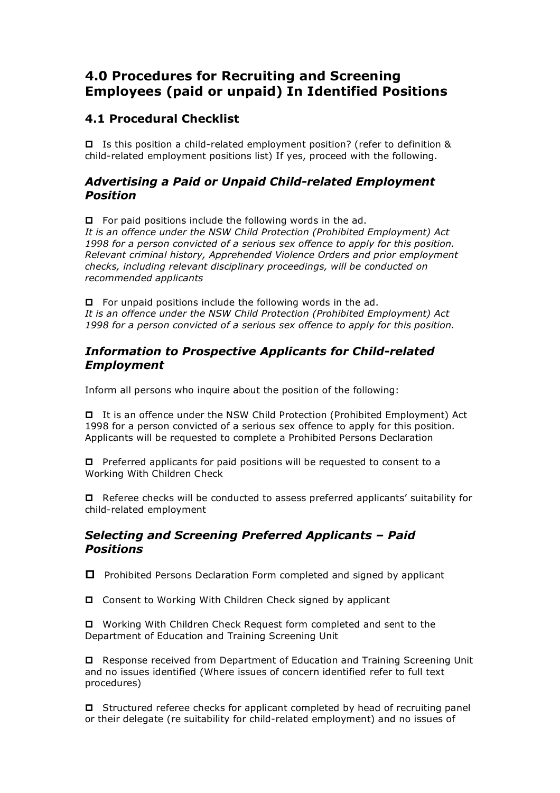# **4.0 Procedures for Recruiting and Screening Employees (paid or unpaid) In Identified Positions**

### **4.1 Procedural Checklist**

 Is this position a child-related employment position? (refer to definition & child-related employment positions list) If yes, proceed with the following.

### *Advertising a Paid or Unpaid Child-related Employment Position*

 $\Box$  For paid positions include the following words in the ad.

*It is an offence under the NSW Child Protection (Prohibited Employment) Act 1998 for a person convicted of a serious sex offence to apply for this position. Relevant criminal history, Apprehended Violence Orders and prior employment checks, including relevant disciplinary proceedings, will be conducted on recommended applicants*

 $\Box$  For unpaid positions include the following words in the ad. *It is an offence under the NSW Child Protection (Prohibited Employment) Act 1998 for a person convicted of a serious sex offence to apply for this position.*

### *Information to Prospective Applicants for Child-related Employment*

Inform all persons who inquire about the position of the following:

 It is an offence under the NSW Child Protection (Prohibited Employment) Act 1998 for a person convicted of a serious sex offence to apply for this position. Applicants will be requested to complete a Prohibited Persons Declaration

 $\Box$  Preferred applicants for paid positions will be requested to consent to a Working With Children Check

 $\Box$  Referee checks will be conducted to assess preferred applicants' suitability for child-related employment

#### *Selecting and Screening Preferred Applicants – Paid Positions*

 $\Box$  Prohibited Persons Declaration Form completed and signed by applicant

□ Consent to Working With Children Check signed by applicant

 Working With Children Check Request form completed and sent to the Department of Education and Training Screening Unit

 Response received from Department of Education and Training Screening Unit and no issues identified (Where issues of concern identified refer to full text procedures)

 $\Box$  Structured referee checks for applicant completed by head of recruiting panel or their delegate (re suitability for child-related employment) and no issues of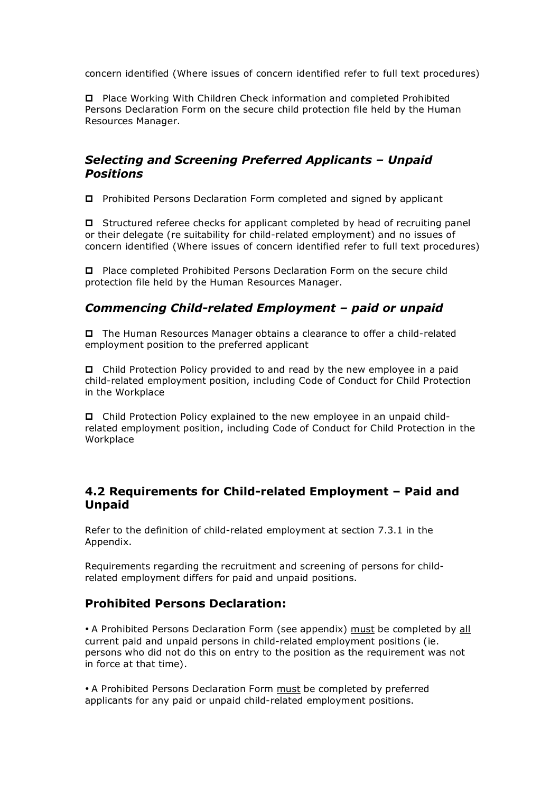concern identified (Where issues of concern identified refer to full text procedures)

 Place Working With Children Check information and completed Prohibited Persons Declaration Form on the secure child protection file held by the Human Resources Manager.

### *Selecting and Screening Preferred Applicants – Unpaid Positions*

Prohibited Persons Declaration Form completed and signed by applicant

 Structured referee checks for applicant completed by head of recruiting panel or their delegate (re suitability for child-related employment) and no issues of concern identified (Where issues of concern identified refer to full text procedures)

 Place completed Prohibited Persons Declaration Form on the secure child protection file held by the Human Resources Manager.

### *Commencing Child-related Employment – paid or unpaid*

 The Human Resources Manager obtains a clearance to offer a child-related employment position to the preferred applicant

 Child Protection Policy provided to and read by the new employee in a paid child-related employment position, including Code of Conduct for Child Protection in the Workplace

 Child Protection Policy explained to the new employee in an unpaid childrelated employment position, including Code of Conduct for Child Protection in the Workplace

### **4.2 Requirements for Child-related Employment – Paid and Unpaid**

Refer to the definition of child-related employment at section 7.3.1 in the Appendix.

Requirements regarding the recruitment and screening of persons for childrelated employment differs for paid and unpaid positions.

### **Prohibited Persons Declaration:**

• A Prohibited Persons Declaration Form (see appendix) must be completed by all current paid and unpaid persons in child-related employment positions (ie. persons who did not do this on entry to the position as the requirement was not in force at that time).

• A Prohibited Persons Declaration Form must be completed by preferred applicants for any paid or unpaid child-related employment positions.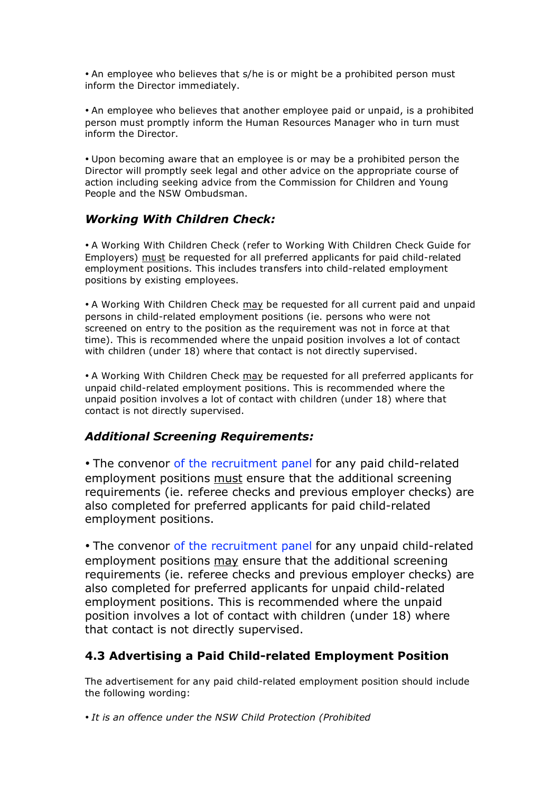• An employee who believes that s/he is or might be a prohibited person must inform the Director immediately.

• An employee who believes that another employee paid or unpaid, is a prohibited person must promptly inform the Human Resources Manager who in turn must inform the Director.

• Upon becoming aware that an employee is or may be a prohibited person the Director will promptly seek legal and other advice on the appropriate course of action including seeking advice from the Commission for Children and Young People and the NSW Ombudsman.

### *Working With Children Check:*

• A Working With Children Check (refer to Working With Children Check Guide for Employers) must be requested for all preferred applicants for paid child-related employment positions. This includes transfers into child-related employment positions by existing employees.

• A Working With Children Check may be requested for all current paid and unpaid persons in child-related employment positions (ie. persons who were not screened on entry to the position as the requirement was not in force at that time). This is recommended where the unpaid position involves a lot of contact with children (under 18) where that contact is not directly supervised.

• A Working With Children Check may be requested for all preferred applicants for unpaid child-related employment positions. This is recommended where the unpaid position involves a lot of contact with children (under 18) where that contact is not directly supervised.

### *Additional Screening Requirements:*

• The convenor of the recruitment panel for any paid child-related employment positions must ensure that the additional screening requirements (ie. referee checks and previous employer checks) are also completed for preferred applicants for paid child-related employment positions.

• The convenor of the recruitment panel for any unpaid child-related employment positions may ensure that the additional screening requirements (ie. referee checks and previous employer checks) are also completed for preferred applicants for unpaid child-related employment positions. This is recommended where the unpaid position involves a lot of contact with children (under 18) where that contact is not directly supervised.

### **4.3 Advertising a Paid Child-related Employment Position**

The advertisement for any paid child-related employment position should include the following wording:

• *It is an offence under the NSW Child Protection (Prohibited*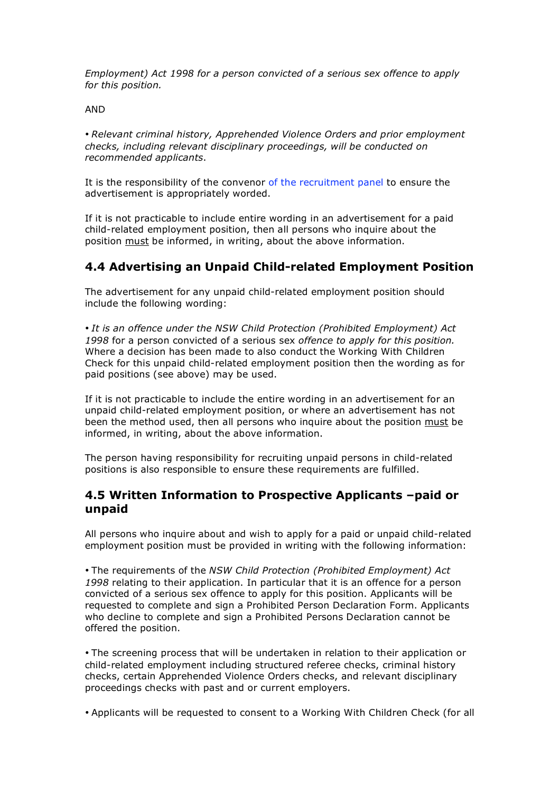*Employment) Act 1998 for a person convicted of a serious sex offence to apply for this position.*

AND

• *Relevant criminal history, Apprehended Violence Orders and prior employment checks, including relevant disciplinary proceedings, will be conducted on recommended applicants*.

It is the responsibility of the convenor of the recruitment panel to ensure the advertisement is appropriately worded.

If it is not practicable to include entire wording in an advertisement for a paid child-related employment position, then all persons who inquire about the position must be informed, in writing, about the above information.

### **4.4 Advertising an Unpaid Child-related Employment Position**

The advertisement for any unpaid child-related employment position should include the following wording:

• *It is an offence under the NSW Child Protection (Prohibited Employment) Act 1998* for a person convicted of a serious sex *offence to apply for this position.* Where a decision has been made to also conduct the Working With Children Check for this unpaid child-related employment position then the wording as for paid positions (see above) may be used.

If it is not practicable to include the entire wording in an advertisement for an unpaid child-related employment position, or where an advertisement has not been the method used, then all persons who inquire about the position must be informed, in writing, about the above information.

The person having responsibility for recruiting unpaid persons in child-related positions is also responsible to ensure these requirements are fulfilled.

#### **4.5 Written Information to Prospective Applicants –paid or unpaid**

All persons who inquire about and wish to apply for a paid or unpaid child-related employment position must be provided in writing with the following information:

• The requirements of the *NSW Child Protection (Prohibited Employment) Act 1998* relating to their application. In particular that it is an offence for a person convicted of a serious sex offence to apply for this position. Applicants will be requested to complete and sign a Prohibited Person Declaration Form. Applicants who decline to complete and sign a Prohibited Persons Declaration cannot be offered the position.

• The screening process that will be undertaken in relation to their application or child-related employment including structured referee checks, criminal history checks, certain Apprehended Violence Orders checks, and relevant disciplinary proceedings checks with past and or current employers.

• Applicants will be requested to consent to a Working With Children Check (for all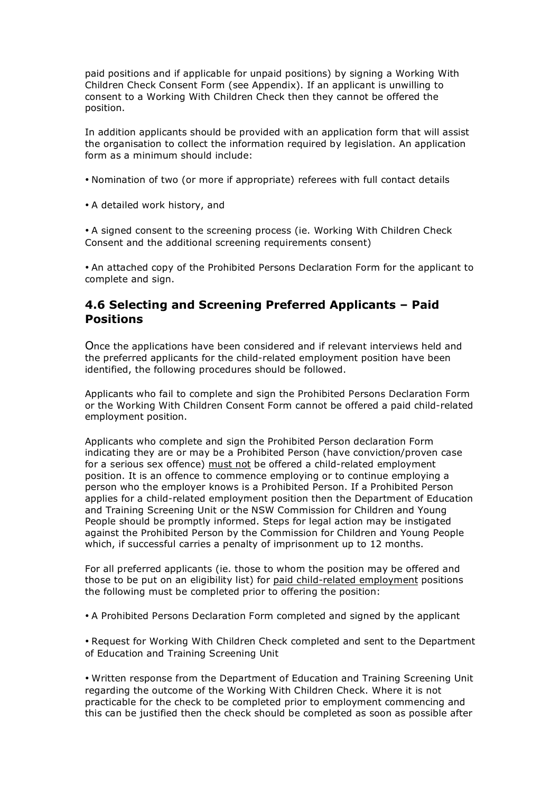paid positions and if applicable for unpaid positions) by signing a Working With Children Check Consent Form (see Appendix). If an applicant is unwilling to consent to a Working With Children Check then they cannot be offered the position.

In addition applicants should be provided with an application form that will assist the organisation to collect the information required by legislation. An application form as a minimum should include:

- Nomination of two (or more if appropriate) referees with full contact details
- A detailed work history, and

• A signed consent to the screening process (ie. Working With Children Check Consent and the additional screening requirements consent)

• An attached copy of the Prohibited Persons Declaration Form for the applicant to complete and sign.

#### **4.6 Selecting and Screening Preferred Applicants – Paid Positions**

Once the applications have been considered and if relevant interviews held and the preferred applicants for the child-related employment position have been identified, the following procedures should be followed.

Applicants who fail to complete and sign the Prohibited Persons Declaration Form or the Working With Children Consent Form cannot be offered a paid child-related employment position.

Applicants who complete and sign the Prohibited Person declaration Form indicating they are or may be a Prohibited Person (have conviction/proven case for a serious sex offence) must not be offered a child-related employment position. It is an offence to commence employing or to continue employing a person who the employer knows is a Prohibited Person. If a Prohibited Person applies for a child-related employment position then the Department of Education and Training Screening Unit or the NSW Commission for Children and Young People should be promptly informed. Steps for legal action may be instigated against the Prohibited Person by the Commission for Children and Young People which, if successful carries a penalty of imprisonment up to 12 months.

For all preferred applicants (ie. those to whom the position may be offered and those to be put on an eligibility list) for paid child-related employment positions the following must be completed prior to offering the position:

• A Prohibited Persons Declaration Form completed and signed by the applicant

• Request for Working With Children Check completed and sent to the Department of Education and Training Screening Unit

• Written response from the Department of Education and Training Screening Unit regarding the outcome of the Working With Children Check. Where it is not practicable for the check to be completed prior to employment commencing and this can be justified then the check should be completed as soon as possible after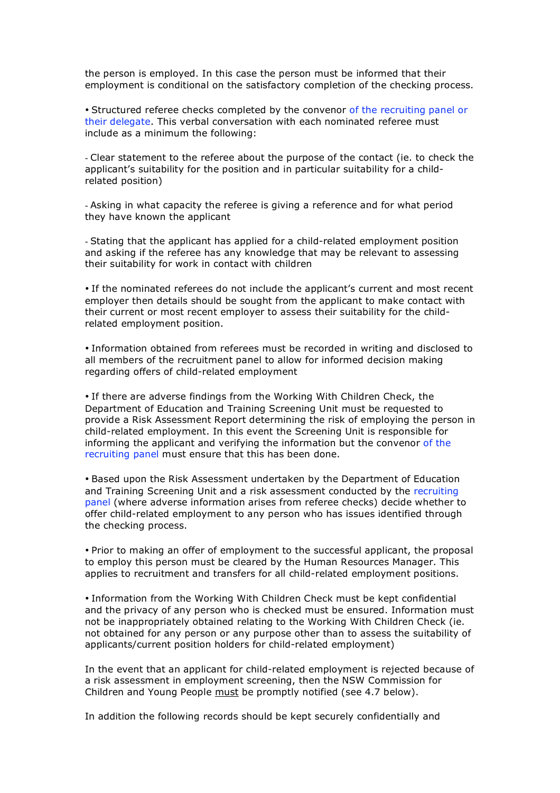the person is employed. In this case the person must be informed that their employment is conditional on the satisfactory completion of the checking process.

• Structured referee checks completed by the convenor of the recruiting panel or their delegate. This verbal conversation with each nominated referee must include as a minimum the following:

- Clear statement to the referee about the purpose of the contact (ie. to check the applicant's suitability for the position and in particular suitability for a childrelated position)

- Asking in what capacity the referee is giving a reference and for what period they have known the applicant

- Stating that the applicant has applied for a child-related employment position and asking if the referee has any knowledge that may be relevant to assessing their suitability for work in contact with children

• If the nominated referees do not include the applicant's current and most recent employer then details should be sought from the applicant to make contact with their current or most recent employer to assess their suitability for the childrelated employment position.

• Information obtained from referees must be recorded in writing and disclosed to all members of the recruitment panel to allow for informed decision making regarding offers of child-related employment

• If there are adverse findings from the Working With Children Check, the Department of Education and Training Screening Unit must be requested to provide a Risk Assessment Report determining the risk of employing the person in child-related employment. In this event the Screening Unit is responsible for informing the applicant and verifying the information but the convenor of the recruiting panel must ensure that this has been done.

• Based upon the Risk Assessment undertaken by the Department of Education and Training Screening Unit and a risk assessment conducted by the recruiting panel (where adverse information arises from referee checks) decide whether to offer child-related employment to any person who has issues identified through the checking process.

• Prior to making an offer of employment to the successful applicant, the proposal to employ this person must be cleared by the Human Resources Manager. This applies to recruitment and transfers for all child-related employment positions.

• Information from the Working With Children Check must be kept confidential and the privacy of any person who is checked must be ensured. Information must not be inappropriately obtained relating to the Working With Children Check (ie. not obtained for any person or any purpose other than to assess the suitability of applicants/current position holders for child-related employment)

In the event that an applicant for child-related employment is rejected because of a risk assessment in employment screening, then the NSW Commission for Children and Young People must be promptly notified (see 4.7 below).

In addition the following records should be kept securely confidentially and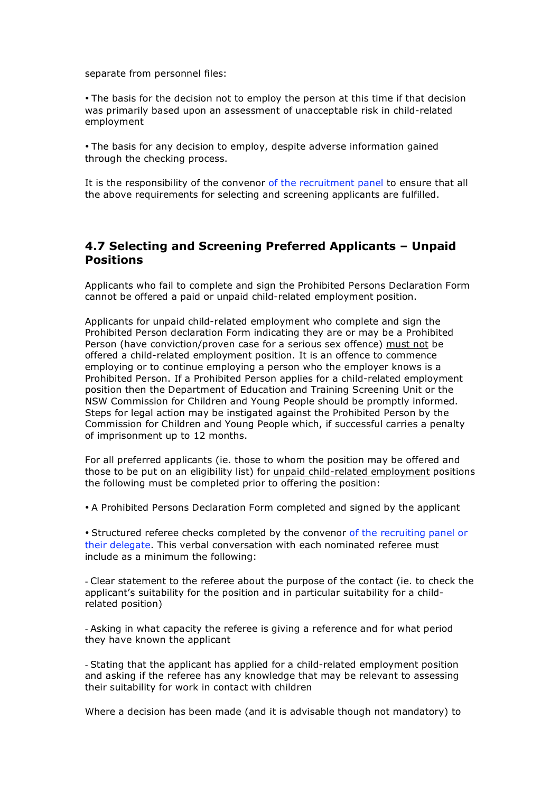separate from personnel files:

• The basis for the decision not to employ the person at this time if that decision was primarily based upon an assessment of unacceptable risk in child-related employment

• The basis for any decision to employ, despite adverse information gained through the checking process.

It is the responsibility of the convenor of the recruitment panel to ensure that all the above requirements for selecting and screening applicants are fulfilled.

#### **4.7 Selecting and Screening Preferred Applicants – Unpaid Positions**

Applicants who fail to complete and sign the Prohibited Persons Declaration Form cannot be offered a paid or unpaid child-related employment position.

Applicants for unpaid child-related employment who complete and sign the Prohibited Person declaration Form indicating they are or may be a Prohibited Person (have conviction/proven case for a serious sex offence) must not be offered a child-related employment position. It is an offence to commence employing or to continue employing a person who the employer knows is a Prohibited Person. If a Prohibited Person applies for a child-related employment position then the Department of Education and Training Screening Unit or the NSW Commission for Children and Young People should be promptly informed. Steps for legal action may be instigated against the Prohibited Person by the Commission for Children and Young People which, if successful carries a penalty of imprisonment up to 12 months.

For all preferred applicants (ie. those to whom the position may be offered and those to be put on an eligibility list) for *unpaid child-related employment positions* the following must be completed prior to offering the position:

• A Prohibited Persons Declaration Form completed and signed by the applicant

• Structured referee checks completed by the convenor of the recruiting panel or their delegate. This verbal conversation with each nominated referee must include as a minimum the following:

- Clear statement to the referee about the purpose of the contact (ie. to check the applicant's suitability for the position and in particular suitability for a childrelated position)

- Asking in what capacity the referee is giving a reference and for what period they have known the applicant

- Stating that the applicant has applied for a child-related employment position and asking if the referee has any knowledge that may be relevant to assessing their suitability for work in contact with children

Where a decision has been made (and it is advisable though not mandatory) to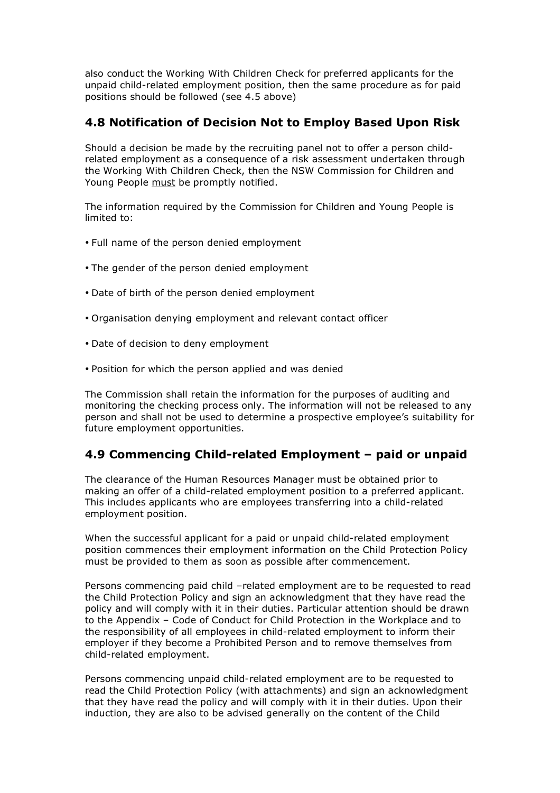also conduct the Working With Children Check for preferred applicants for the unpaid child-related employment position, then the same procedure as for paid positions should be followed (see 4.5 above)

### **4.8 Notification of Decision Not to Employ Based Upon Risk**

Should a decision be made by the recruiting panel not to offer a person childrelated employment as a consequence of a risk assessment undertaken through the Working With Children Check, then the NSW Commission for Children and Young People must be promptly notified.

The information required by the Commission for Children and Young People is limited to:

- Full name of the person denied employment
- The gender of the person denied employment
- Date of birth of the person denied employment
- Organisation denying employment and relevant contact officer
- Date of decision to deny employment
- Position for which the person applied and was denied

The Commission shall retain the information for the purposes of auditing and monitoring the checking process only. The information will not be released to any person and shall not be used to determine a prospective employee's suitability for future employment opportunities.

### **4.9 Commencing Child-related Employment – paid or unpaid**

The clearance of the Human Resources Manager must be obtained prior to making an offer of a child-related employment position to a preferred applicant. This includes applicants who are employees transferring into a child-related employment position.

When the successful applicant for a paid or unpaid child-related employment position commences their employment information on the Child Protection Policy must be provided to them as soon as possible after commencement.

Persons commencing paid child –related employment are to be requested to read the Child Protection Policy and sign an acknowledgment that they have read the policy and will comply with it in their duties. Particular attention should be drawn to the Appendix – Code of Conduct for Child Protection in the Workplace and to the responsibility of all employees in child-related employment to inform their employer if they become a Prohibited Person and to remove themselves from child-related employment.

Persons commencing unpaid child-related employment are to be requested to read the Child Protection Policy (with attachments) and sign an acknowledgment that they have read the policy and will comply with it in their duties. Upon their induction, they are also to be advised generally on the content of the Child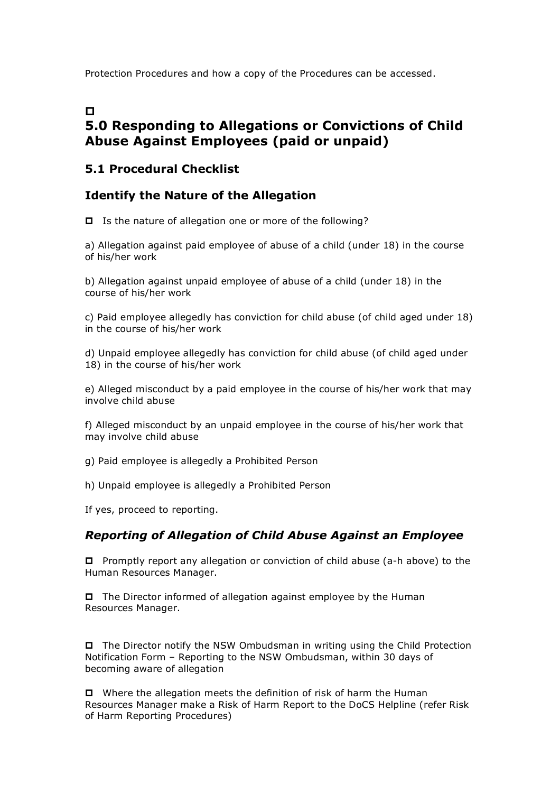Protection Procedures and how a copy of the Procedures can be accessed.

# $\blacksquare$

# **5.0 Responding to Allegations or Convictions of Child Abuse Against Employees (paid or unpaid)**

### **5.1 Procedural Checklist**

### **Identify the Nature of the Allegation**

Is the nature of allegation one or more of the following?

a) Allegation against paid employee of abuse of a child (under 18) in the course of his/her work

b) Allegation against unpaid employee of abuse of a child (under 18) in the course of his/her work

c) Paid employee allegedly has conviction for child abuse (of child aged under 18) in the course of his/her work

d) Unpaid employee allegedly has conviction for child abuse (of child aged under 18) in the course of his/her work

e) Alleged misconduct by a paid employee in the course of his/her work that may involve child abuse

f) Alleged misconduct by an unpaid employee in the course of his/her work that may involve child abuse

g) Paid employee is allegedly a Prohibited Person

h) Unpaid employee is allegedly a Prohibited Person

If yes, proceed to reporting.

#### *Reporting of Allegation of Child Abuse Against an Employee*

□ Promptly report any allegation or conviction of child abuse (a-h above) to the Human Resources Manager.

 $\Box$  The Director informed of allegation against employee by the Human Resources Manager.

 The Director notify the NSW Ombudsman in writing using the Child Protection Notification Form – Reporting to the NSW Ombudsman, within 30 days of becoming aware of allegation

 Where the allegation meets the definition of risk of harm the Human Resources Manager make a Risk of Harm Report to the DoCS Helpline (refer Risk of Harm Reporting Procedures)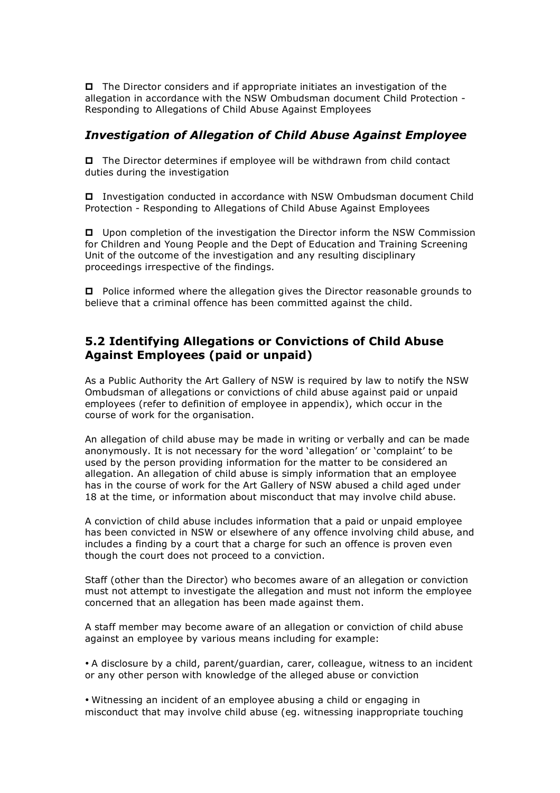The Director considers and if appropriate initiates an investigation of the allegation in accordance with the NSW Ombudsman document Child Protection - Responding to Allegations of Child Abuse Against Employees

### *Investigation of Allegation of Child Abuse Against Employee*

 The Director determines if employee will be withdrawn from child contact duties during the investigation

 Investigation conducted in accordance with NSW Ombudsman document Child Protection - Responding to Allegations of Child Abuse Against Employees

 Upon completion of the investigation the Director inform the NSW Commission for Children and Young People and the Dept of Education and Training Screening Unit of the outcome of the investigation and any resulting disciplinary proceedings irrespective of the findings.

 Police informed where the allegation gives the Director reasonable grounds to believe that a criminal offence has been committed against the child.

### **5.2 Identifying Allegations or Convictions of Child Abuse Against Employees (paid or unpaid)**

As a Public Authority the Art Gallery of NSW is required by law to notify the NSW Ombudsman of allegations or convictions of child abuse against paid or unpaid employees (refer to definition of employee in appendix), which occur in the course of work for the organisation.

An allegation of child abuse may be made in writing or verbally and can be made anonymously. It is not necessary for the word 'allegation' or 'complaint' to be used by the person providing information for the matter to be considered an allegation. An allegation of child abuse is simply information that an employee has in the course of work for the Art Gallery of NSW abused a child aged under 18 at the time, or information about misconduct that may involve child abuse.

A conviction of child abuse includes information that a paid or unpaid employee has been convicted in NSW or elsewhere of any offence involving child abuse, and includes a finding by a court that a charge for such an offence is proven even though the court does not proceed to a conviction.

Staff (other than the Director) who becomes aware of an allegation or conviction must not attempt to investigate the allegation and must not inform the employee concerned that an allegation has been made against them.

A staff member may become aware of an allegation or conviction of child abuse against an employee by various means including for example:

• A disclosure by a child, parent/guardian, carer, colleague, witness to an incident or any other person with knowledge of the alleged abuse or conviction

• Witnessing an incident of an employee abusing a child or engaging in misconduct that may involve child abuse (eg. witnessing inappropriate touching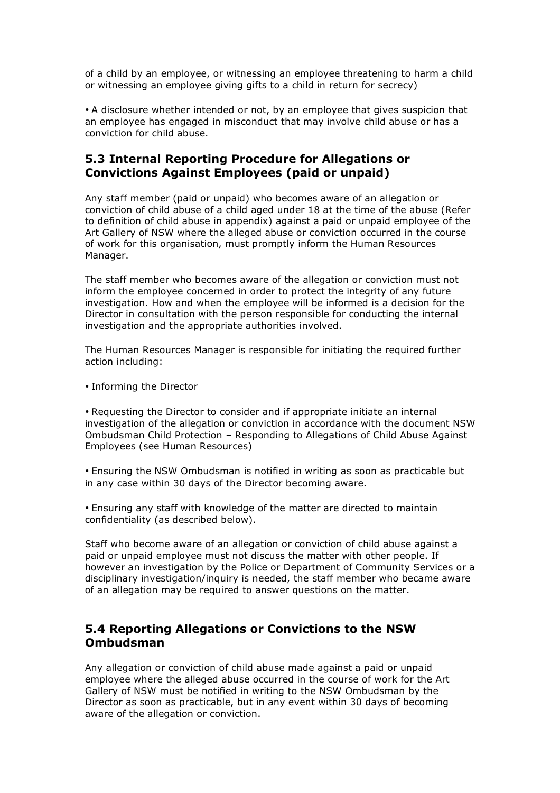of a child by an employee, or witnessing an employee threatening to harm a child or witnessing an employee giving gifts to a child in return for secrecy)

• A disclosure whether intended or not, by an employee that gives suspicion that an employee has engaged in misconduct that may involve child abuse or has a conviction for child abuse.

### **5.3 Internal Reporting Procedure for Allegations or Convictions Against Employees (paid or unpaid)**

Any staff member (paid or unpaid) who becomes aware of an allegation or conviction of child abuse of a child aged under 18 at the time of the abuse (Refer to definition of child abuse in appendix) against a paid or unpaid employee of the Art Gallery of NSW where the alleged abuse or conviction occurred in the course of work for this organisation, must promptly inform the Human Resources Manager.

The staff member who becomes aware of the allegation or conviction must not inform the employee concerned in order to protect the integrity of any future investigation. How and when the employee will be informed is a decision for the Director in consultation with the person responsible for conducting the internal investigation and the appropriate authorities involved.

The Human Resources Manager is responsible for initiating the required further action including:

• Informing the Director

• Requesting the Director to consider and if appropriate initiate an internal investigation of the allegation or conviction in accordance with the document NSW Ombudsman Child Protection – Responding to Allegations of Child Abuse Against Employees (see Human Resources)

• Ensuring the NSW Ombudsman is notified in writing as soon as practicable but in any case within 30 days of the Director becoming aware.

• Ensuring any staff with knowledge of the matter are directed to maintain confidentiality (as described below).

Staff who become aware of an allegation or conviction of child abuse against a paid or unpaid employee must not discuss the matter with other people. If however an investigation by the Police or Department of Community Services or a disciplinary investigation/inquiry is needed, the staff member who became aware of an allegation may be required to answer questions on the matter.

### **5.4 Reporting Allegations or Convictions to the NSW Ombudsman**

Any allegation or conviction of child abuse made against a paid or unpaid employee where the alleged abuse occurred in the course of work for the Art Gallery of NSW must be notified in writing to the NSW Ombudsman by the Director as soon as practicable, but in any event within 30 days of becoming aware of the allegation or conviction.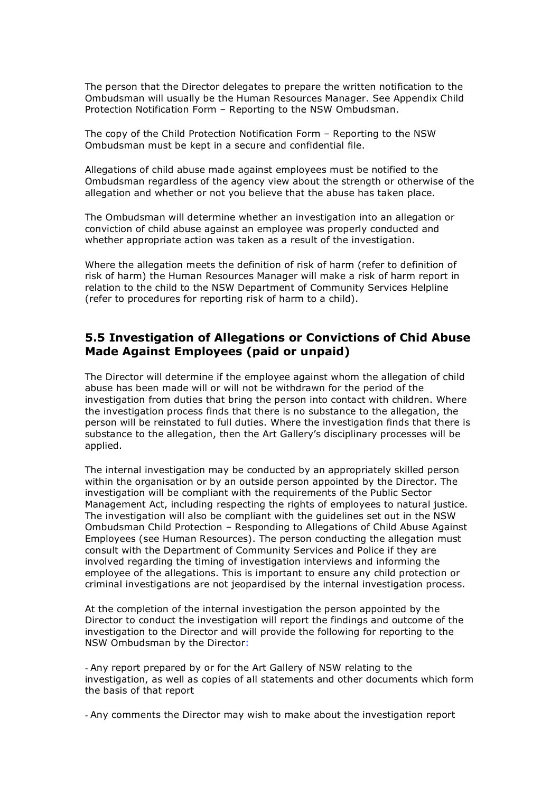The person that the Director delegates to prepare the written notification to the Ombudsman will usually be the Human Resources Manager. See Appendix Child Protection Notification Form – Reporting to the NSW Ombudsman.

The copy of the Child Protection Notification Form – Reporting to the NSW Ombudsman must be kept in a secure and confidential file.

Allegations of child abuse made against employees must be notified to the Ombudsman regardless of the agency view about the strength or otherwise of the allegation and whether or not you believe that the abuse has taken place.

The Ombudsman will determine whether an investigation into an allegation or conviction of child abuse against an employee was properly conducted and whether appropriate action was taken as a result of the investigation.

Where the allegation meets the definition of risk of harm (refer to definition of risk of harm) the Human Resources Manager will make a risk of harm report in relation to the child to the NSW Department of Community Services Helpline (refer to procedures for reporting risk of harm to a child).

#### **5.5 Investigation of Allegations or Convictions of Chid Abuse Made Against Employees (paid or unpaid)**

The Director will determine if the employee against whom the allegation of child abuse has been made will or will not be withdrawn for the period of the investigation from duties that bring the person into contact with children. Where the investigation process finds that there is no substance to the allegation, the person will be reinstated to full duties. Where the investigation finds that there is substance to the allegation, then the Art Gallery's disciplinary processes will be applied.

The internal investigation may be conducted by an appropriately skilled person within the organisation or by an outside person appointed by the Director. The investigation will be compliant with the requirements of the Public Sector Management Act, including respecting the rights of employees to natural justice. The investigation will also be compliant with the guidelines set out in the NSW Ombudsman Child Protection – Responding to Allegations of Child Abuse Against Employees (see Human Resources). The person conducting the allegation must consult with the Department of Community Services and Police if they are involved regarding the timing of investigation interviews and informing the employee of the allegations. This is important to ensure any child protection or criminal investigations are not jeopardised by the internal investigation process.

At the completion of the internal investigation the person appointed by the Director to conduct the investigation will report the findings and outcome of the investigation to the Director and will provide the following for reporting to the NSW Ombudsman by the Director:

- Any report prepared by or for the Art Gallery of NSW relating to the investigation, as well as copies of all statements and other documents which form the basis of that report

- Any comments the Director may wish to make about the investigation report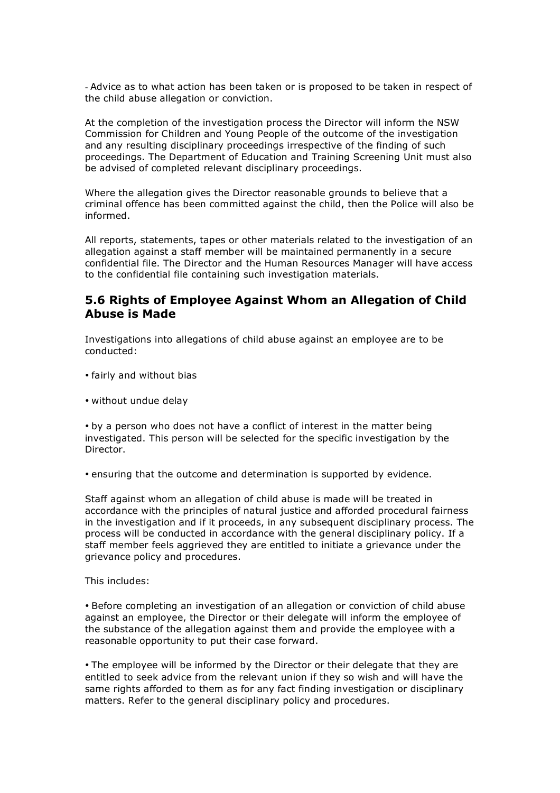- Advice as to what action has been taken or is proposed to be taken in respect of the child abuse allegation or conviction.

At the completion of the investigation process the Director will inform the NSW Commission for Children and Young People of the outcome of the investigation and any resulting disciplinary proceedings irrespective of the finding of such proceedings. The Department of Education and Training Screening Unit must also be advised of completed relevant disciplinary proceedings.

Where the allegation gives the Director reasonable grounds to believe that a criminal offence has been committed against the child, then the Police will also be informed.

All reports, statements, tapes or other materials related to the investigation of an allegation against a staff member will be maintained permanently in a secure confidential file. The Director and the Human Resources Manager will have access to the confidential file containing such investigation materials.

#### **5.6 Rights of Employee Against Whom an Allegation of Child Abuse is Made**

Investigations into allegations of child abuse against an employee are to be conducted:

- fairly and without bias
- without undue delay

• by a person who does not have a conflict of interest in the matter being investigated. This person will be selected for the specific investigation by the Director.

• ensuring that the outcome and determination is supported by evidence.

Staff against whom an allegation of child abuse is made will be treated in accordance with the principles of natural justice and afforded procedural fairness in the investigation and if it proceeds, in any subsequent disciplinary process. The process will be conducted in accordance with the general disciplinary policy. If a staff member feels aggrieved they are entitled to initiate a grievance under the grievance policy and procedures.

This includes:

• Before completing an investigation of an allegation or conviction of child abuse against an employee, the Director or their delegate will inform the employee of the substance of the allegation against them and provide the employee with a reasonable opportunity to put their case forward.

• The employee will be informed by the Director or their delegate that they are entitled to seek advice from the relevant union if they so wish and will have the same rights afforded to them as for any fact finding investigation or disciplinary matters. Refer to the general disciplinary policy and procedures.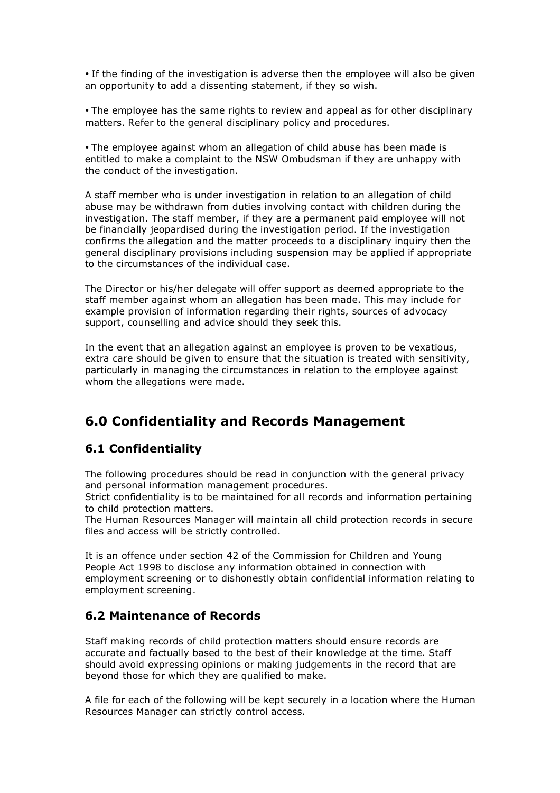• If the finding of the investigation is adverse then the employee will also be given an opportunity to add a dissenting statement, if they so wish.

• The employee has the same rights to review and appeal as for other disciplinary matters. Refer to the general disciplinary policy and procedures.

• The employee against whom an allegation of child abuse has been made is entitled to make a complaint to the NSW Ombudsman if they are unhappy with the conduct of the investigation.

A staff member who is under investigation in relation to an allegation of child abuse may be withdrawn from duties involving contact with children during the investigation. The staff member, if they are a permanent paid employee will not be financially jeopardised during the investigation period. If the investigation confirms the allegation and the matter proceeds to a disciplinary inquiry then the general disciplinary provisions including suspension may be applied if appropriate to the circumstances of the individual case.

The Director or his/her delegate will offer support as deemed appropriate to the staff member against whom an allegation has been made. This may include for example provision of information regarding their rights, sources of advocacy support, counselling and advice should they seek this.

In the event that an allegation against an employee is proven to be vexatious, extra care should be given to ensure that the situation is treated with sensitivity, particularly in managing the circumstances in relation to the employee against whom the allegations were made.

# **6.0 Confidentiality and Records Management**

### **6.1 Confidentiality**

The following procedures should be read in conjunction with the general privacy and personal information management procedures.

Strict confidentiality is to be maintained for all records and information pertaining to child protection matters.

The Human Resources Manager will maintain all child protection records in secure files and access will be strictly controlled.

It is an offence under section 42 of the Commission for Children and Young People Act 1998 to disclose any information obtained in connection with employment screening or to dishonestly obtain confidential information relating to employment screening.

### **6.2 Maintenance of Records**

Staff making records of child protection matters should ensure records are accurate and factually based to the best of their knowledge at the time. Staff should avoid expressing opinions or making judgements in the record that are beyond those for which they are qualified to make.

A file for each of the following will be kept securely in a location where the Human Resources Manager can strictly control access.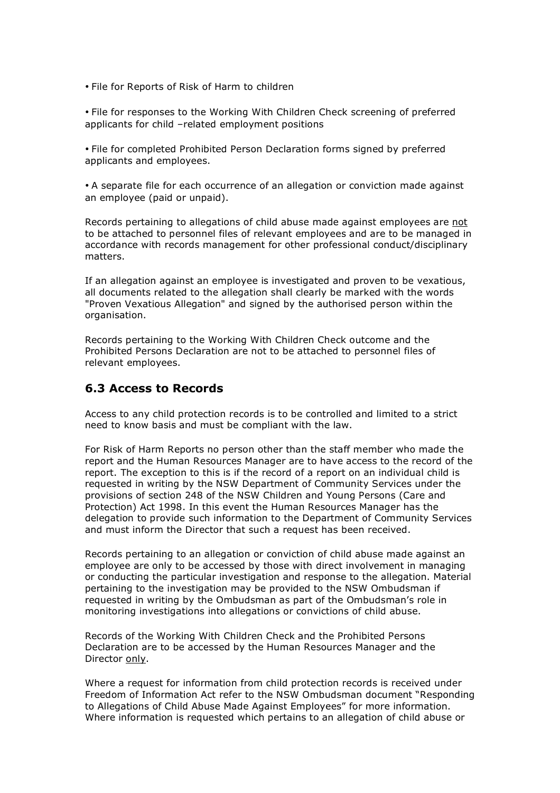• File for Reports of Risk of Harm to children

• File for responses to the Working With Children Check screening of preferred applicants for child –related employment positions

• File for completed Prohibited Person Declaration forms signed by preferred applicants and employees.

• A separate file for each occurrence of an allegation or conviction made against an employee (paid or unpaid).

Records pertaining to allegations of child abuse made against employees are not to be attached to personnel files of relevant employees and are to be managed in accordance with records management for other professional conduct/disciplinary matters.

If an allegation against an employee is investigated and proven to be vexatious, all documents related to the allegation shall clearly be marked with the words "Proven Vexatious Allegation" and signed by the authorised person within the organisation.

Records pertaining to the Working With Children Check outcome and the Prohibited Persons Declaration are not to be attached to personnel files of relevant employees.

#### **6.3 Access to Records**

Access to any child protection records is to be controlled and limited to a strict need to know basis and must be compliant with the law.

For Risk of Harm Reports no person other than the staff member who made the report and the Human Resources Manager are to have access to the record of the report. The exception to this is if the record of a report on an individual child is requested in writing by the NSW Department of Community Services under the provisions of section 248 of the NSW Children and Young Persons (Care and Protection) Act 1998. In this event the Human Resources Manager has the delegation to provide such information to the Department of Community Services and must inform the Director that such a request has been received.

Records pertaining to an allegation or conviction of child abuse made against an employee are only to be accessed by those with direct involvement in managing or conducting the particular investigation and response to the allegation. Material pertaining to the investigation may be provided to the NSW Ombudsman if requested in writing by the Ombudsman as part of the Ombudsman's role in monitoring investigations into allegations or convictions of child abuse.

Records of the Working With Children Check and the Prohibited Persons Declaration are to be accessed by the Human Resources Manager and the Director only.

Where a request for information from child protection records is received under Freedom of Information Act refer to the NSW Ombudsman document "Responding to Allegations of Child Abuse Made Against Employees" for more information. Where information is requested which pertains to an allegation of child abuse or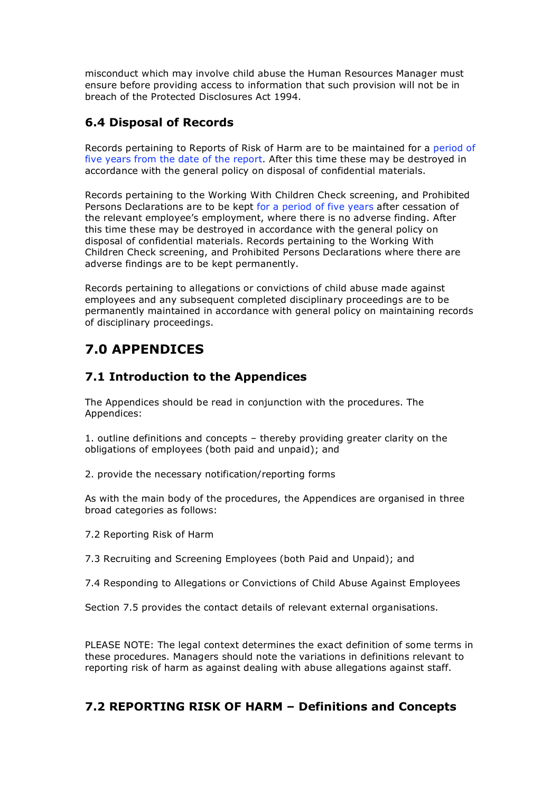misconduct which may involve child abuse the Human Resources Manager must ensure before providing access to information that such provision will not be in breach of the Protected Disclosures Act 1994.

# **6.4 Disposal of Records**

Records pertaining to Reports of Risk of Harm are to be maintained for a period of five years from the date of the report. After this time these may be destroyed in accordance with the general policy on disposal of confidential materials.

Records pertaining to the Working With Children Check screening, and Prohibited Persons Declarations are to be kept for a period of five years after cessation of the relevant employee's employment, where there is no adverse finding. After this time these may be destroyed in accordance with the general policy on disposal of confidential materials. Records pertaining to the Working With Children Check screening, and Prohibited Persons Declarations where there are adverse findings are to be kept permanently.

Records pertaining to allegations or convictions of child abuse made against employees and any subsequent completed disciplinary proceedings are to be permanently maintained in accordance with general policy on maintaining records of disciplinary proceedings.

# **7.0 APPENDICES**

# **7.1 Introduction to the Appendices**

The Appendices should be read in conjunction with the procedures. The Appendices:

1. outline definitions and concepts – thereby providing greater clarity on the obligations of employees (both paid and unpaid); and

2. provide the necessary notification/reporting forms

As with the main body of the procedures, the Appendices are organised in three broad categories as follows:

7.2 Reporting Risk of Harm

7.3 Recruiting and Screening Employees (both Paid and Unpaid); and

7.4 Responding to Allegations or Convictions of Child Abuse Against Employees

Section 7.5 provides the contact details of relevant external organisations.

PLEASE NOTE: The legal context determines the exact definition of some terms in these procedures. Managers should note the variations in definitions relevant to reporting risk of harm as against dealing with abuse allegations against staff.

# **7.2 REPORTING RISK OF HARM – Definitions and Concepts**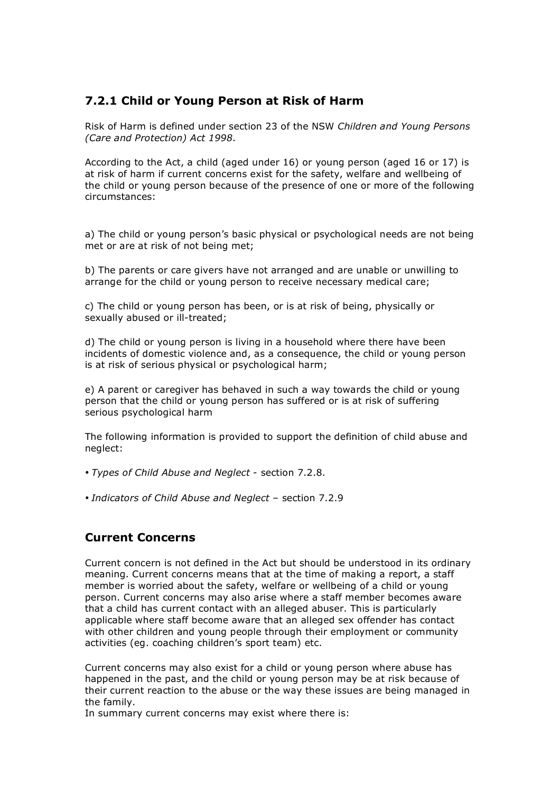### **7.2.1 Child or Young Person at Risk of Harm**

Risk of Harm is defined under section 23 of the NSW *Children and Young Persons (Care and Protection) Act 1998*.

According to the Act, a child (aged under 16) or young person (aged 16 or 17) is at risk of harm if current concerns exist for the safety, welfare and wellbeing of the child or young person because of the presence of one or more of the following circumstances:

a) The child or young person's basic physical or psychological needs are not being met or are at risk of not being met;

b) The parents or care givers have not arranged and are unable or unwilling to arrange for the child or young person to receive necessary medical care;

c) The child or young person has been, or is at risk of being, physically or sexually abused or ill-treated;

d) The child or young person is living in a household where there have been incidents of domestic violence and, as a consequence, the child or young person is at risk of serious physical or psychological harm;

e) A parent or caregiver has behaved in such a way towards the child or young person that the child or young person has suffered or is at risk of suffering serious psychological harm

The following information is provided to support the definition of child abuse and neglect:

• *Types of Child Abuse and Neglect* - section 7.2.8.

• *Indicators of Child Abuse and Neglect* – section 7.2.9

#### **Current Concerns**

Current concern is not defined in the Act but should be understood in its ordinary meaning. Current concerns means that at the time of making a report, a staff member is worried about the safety, welfare or wellbeing of a child or young person. Current concerns may also arise where a staff member becomes aware that a child has current contact with an alleged abuser. This is particularly applicable where staff become aware that an alleged sex offender has contact with other children and young people through their employment or community activities (eg. coaching children's sport team) etc.

Current concerns may also exist for a child or young person where abuse has happened in the past, and the child or young person may be at risk because of their current reaction to the abuse or the way these issues are being managed in the family.

In summary current concerns may exist where there is: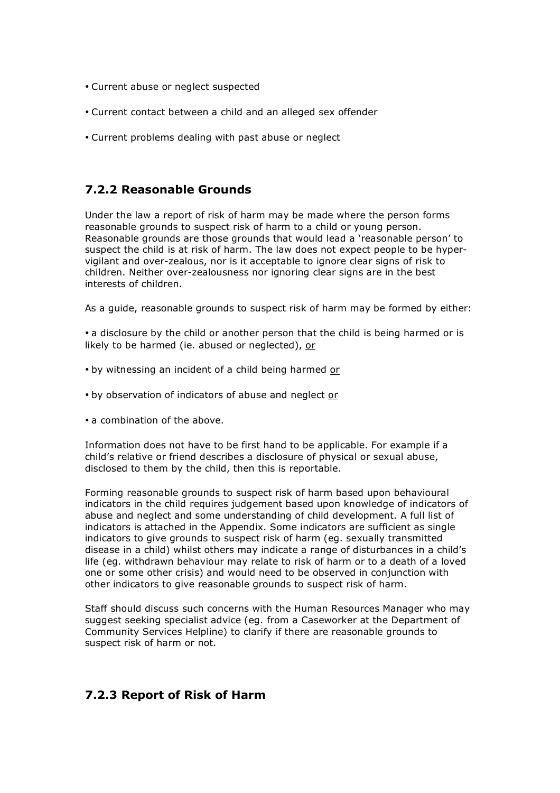- Current abuse or neglect suspected
- Current contact between a child and an alleged sex offender
- Current problems dealing with past abuse or neglect

### **7.2.2 Reasonable Grounds**

Under the law a report of risk of harm may be made where the person forms reasonable grounds to suspect risk of harm to a child or young person. Reasonable grounds are those grounds that would lead a 'reasonable person' to suspect the child is at risk of harm. The law does not expect people to be hypervigilant and over-zealous, nor is it acceptable to ignore clear signs of risk to children. Neither over-zealousness nor ignoring clear signs are in the best interests of children.

As a guide, reasonable grounds to suspect risk of harm may be formed by either:

• a disclosure by the child or another person that the child is being harmed or is likely to be harmed (ie. abused or neglected), or

- by witnessing an incident of a child being harmed or
- by observation of indicators of abuse and neglect or
- a combination of the above.

Information does not have to be first hand to be applicable. For example if a child's relative or friend describes a disclosure of physical or sexual abuse, disclosed to them by the child, then this is reportable.

Forming reasonable grounds to suspect risk of harm based upon behavioural indicators in the child requires judgement based upon knowledge of indicators of abuse and neglect and some understanding of child development. A full list of indicators is attached in the Appendix. Some indicators are sufficient as single indicators to give grounds to suspect risk of harm (eg. sexually transmitted disease in a child) whilst others may indicate a range of disturbances in a child's life (eg. withdrawn behaviour may relate to risk of harm or to a death of a loved one or some other crisis) and would need to be observed in conjunction with other indicators to give reasonable grounds to suspect risk of harm.

Staff should discuss such concerns with the Human Resources Manager who may suggest seeking specialist advice (eg. from a Caseworker at the Department of Community Services Helpline) to clarify if there are reasonable grounds to suspect risk of harm or not.

#### **7.2.3 Report of Risk of Harm**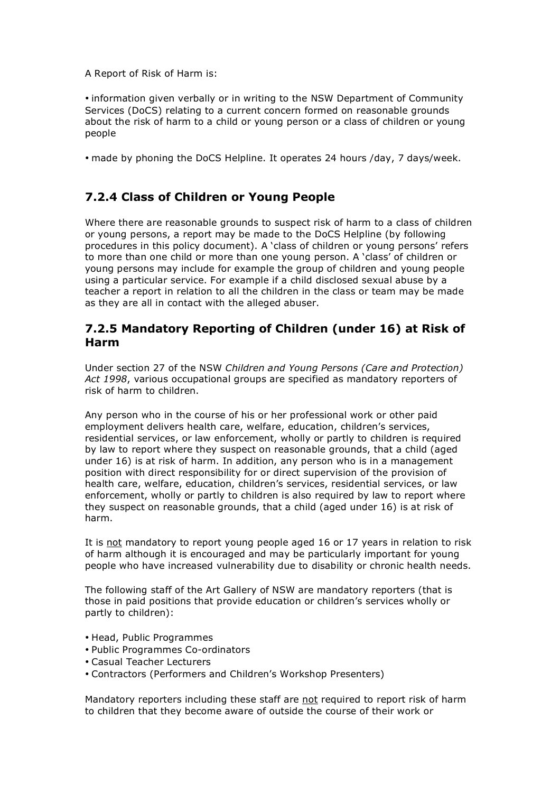A Report of Risk of Harm is:

• information given verbally or in writing to the NSW Department of Community Services (DoCS) relating to a current concern formed on reasonable grounds about the risk of harm to a child or young person or a class of children or young people

• made by phoning the DoCS Helpline. It operates 24 hours /day, 7 days/week.

# **7.2.4 Class of Children or Young People**

Where there are reasonable grounds to suspect risk of harm to a class of children or young persons, a report may be made to the DoCS Helpline (by following procedures in this policy document). A 'class of children or young persons' refers to more than one child or more than one young person. A 'class' of children or young persons may include for example the group of children and young people using a particular service. For example if a child disclosed sexual abuse by a teacher a report in relation to all the children in the class or team may be made as they are all in contact with the alleged abuser.

### **7.2.5 Mandatory Reporting of Children (under 16) at Risk of Harm**

Under section 27 of the NSW *Children and Young Persons (Care and Protection) Act 1998*, various occupational groups are specified as mandatory reporters of risk of harm to children.

Any person who in the course of his or her professional work or other paid employment delivers health care, welfare, education, children's services, residential services, or law enforcement, wholly or partly to children is required by law to report where they suspect on reasonable grounds, that a child (aged under 16) is at risk of harm. In addition, any person who is in a management position with direct responsibility for or direct supervision of the provision of health care, welfare, education, children's services, residential services, or law enforcement, wholly or partly to children is also required by law to report where they suspect on reasonable grounds, that a child (aged under 16) is at risk of harm.

It is not mandatory to report young people aged 16 or 17 years in relation to risk of harm although it is encouraged and may be particularly important for young people who have increased vulnerability due to disability or chronic health needs.

The following staff of the Art Gallery of NSW are mandatory reporters (that is those in paid positions that provide education or children's services wholly or partly to children):

- Head, Public Programmes
- Public Programmes Co-ordinators
- Casual Teacher Lecturers
- Contractors (Performers and Children's Workshop Presenters)

Mandatory reporters including these staff are not required to report risk of harm to children that they become aware of outside the course of their work or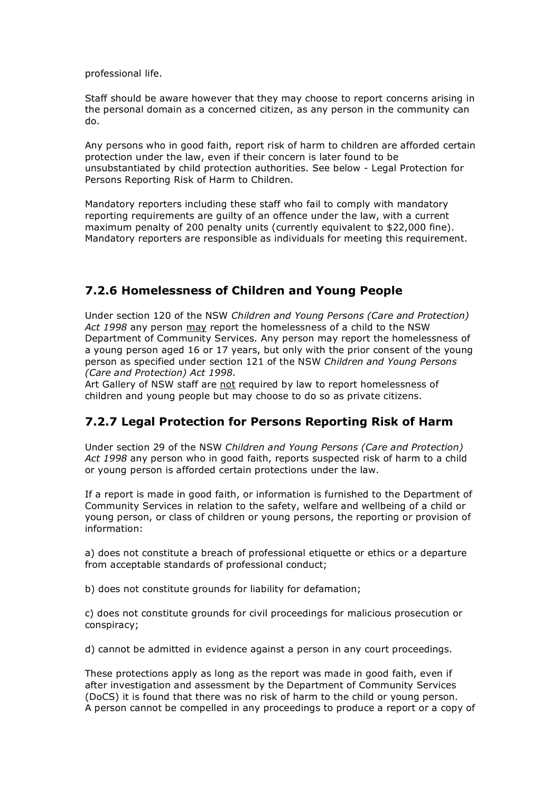professional life.

Staff should be aware however that they may choose to report concerns arising in the personal domain as a concerned citizen, as any person in the community can do.

Any persons who in good faith, report risk of harm to children are afforded certain protection under the law, even if their concern is later found to be unsubstantiated by child protection authorities. See below - Legal Protection for Persons Reporting Risk of Harm to Children.

Mandatory reporters including these staff who fail to comply with mandatory reporting requirements are guilty of an offence under the law, with a current maximum penalty of 200 penalty units (currently equivalent to \$22,000 fine). Mandatory reporters are responsible as individuals for meeting this requirement.

### **7.2.6 Homelessness of Children and Young People**

Under section 120 of the NSW *Children and Young Persons (Care and Protection) Act 1998* any person may report the homelessness of a child to the NSW Department of Community Services. Any person may report the homelessness of a young person aged 16 or 17 years, but only with the prior consent of the young person as specified under section 121 of the NSW *Children and Young Persons (Care and Protection) Act 1998*.

Art Gallery of NSW staff are not required by law to report homelessness of children and young people but may choose to do so as private citizens.

# **7.2.7 Legal Protection for Persons Reporting Risk of Harm**

Under section 29 of the NSW *Children and Young Persons (Care and Protection) Act 1998* any person who in good faith, reports suspected risk of harm to a child or young person is afforded certain protections under the law.

If a report is made in good faith, or information is furnished to the Department of Community Services in relation to the safety, welfare and wellbeing of a child or young person, or class of children or young persons, the reporting or provision of information:

a) does not constitute a breach of professional etiquette or ethics or a departure from acceptable standards of professional conduct;

b) does not constitute grounds for liability for defamation;

c) does not constitute grounds for civil proceedings for malicious prosecution or conspiracy;

d) cannot be admitted in evidence against a person in any court proceedings.

These protections apply as long as the report was made in good faith, even if after investigation and assessment by the Department of Community Services (DoCS) it is found that there was no risk of harm to the child or young person. A person cannot be compelled in any proceedings to produce a report or a copy of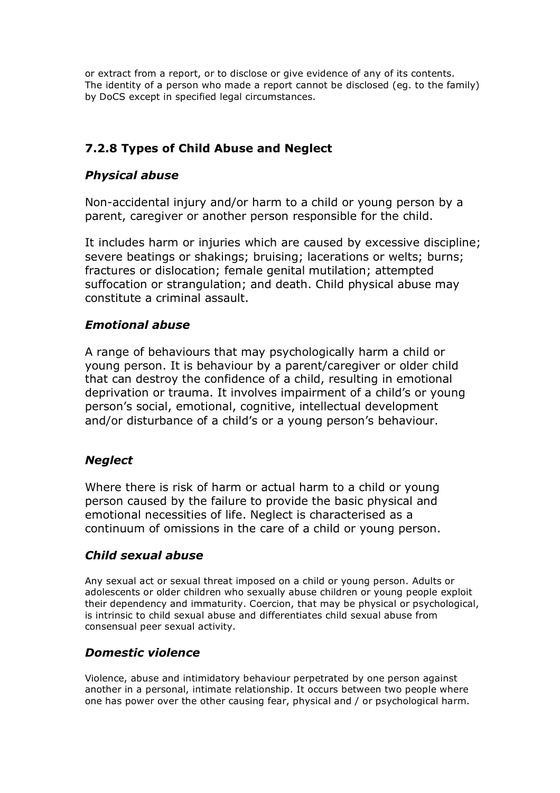or extract from a report, or to disclose or give evidence of any of its contents. The identity of a person who made a report cannot be disclosed (eg. to the family) by DoCS except in specified legal circumstances.

# **7.2.8 Types of Child Abuse and Neglect**

# *Physical abuse*

Non-accidental injury and/or harm to a child or young person by a parent, caregiver or another person responsible for the child.

It includes harm or injuries which are caused by excessive discipline; severe beatings or shakings; bruising; lacerations or welts; burns; fractures or dislocation; female genital mutilation; attempted suffocation or strangulation; and death. Child physical abuse may constitute a criminal assault.

### *Emotional abuse*

A range of behaviours that may psychologically harm a child or young person. It is behaviour by a parent/caregiver or older child that can destroy the confidence of a child, resulting in emotional deprivation or trauma. It involves impairment of a child's or young person's social, emotional, cognitive, intellectual development and/or disturbance of a child's or a young person's behaviour.

### *Neglect*

Where there is risk of harm or actual harm to a child or young person caused by the failure to provide the basic physical and emotional necessities of life. Neglect is characterised as a continuum of omissions in the care of a child or young person.

# *Child sexual abuse*

Any sexual act or sexual threat imposed on a child or young person. Adults or adolescents or older children who sexually abuse children or young people exploit their dependency and immaturity. Coercion, that may be physical or psychological, is intrinsic to child sexual abuse and differentiates child sexual abuse from consensual peer sexual activity.

### *Domestic violence*

Violence, abuse and intimidatory behaviour perpetrated by one person against another in a personal, intimate relationship. It occurs between two people where one has power over the other causing fear, physical and / or psychological harm.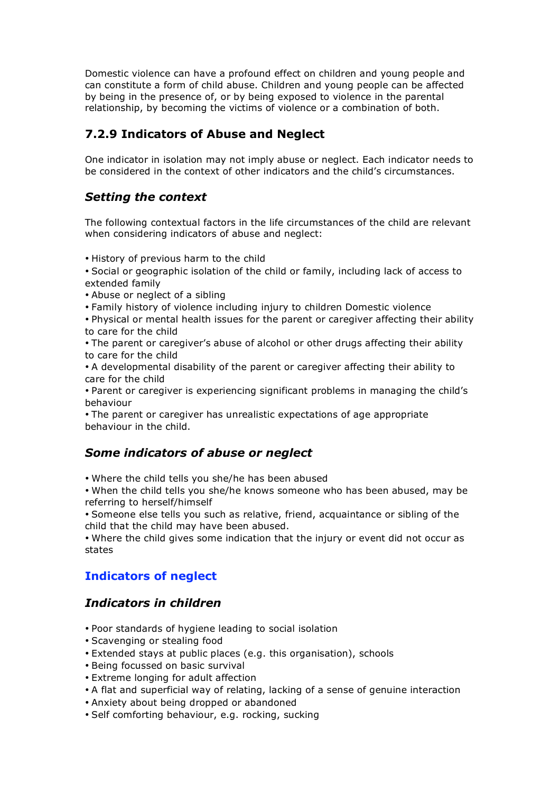Domestic violence can have a profound effect on children and young people and can constitute a form of child abuse. Children and young people can be affected by being in the presence of, or by being exposed to violence in the parental relationship, by becoming the victims of violence or a combination of both.

# **7.2.9 Indicators of Abuse and Neglect**

One indicator in isolation may not imply abuse or neglect. Each indicator needs to be considered in the context of other indicators and the child's circumstances.

# *Setting the context*

The following contextual factors in the life circumstances of the child are relevant when considering indicators of abuse and neglect:

• History of previous harm to the child

• Social or geographic isolation of the child or family, including lack of access to extended family

- Abuse or neglect of a sibling
- Family history of violence including injury to children Domestic violence

• Physical or mental health issues for the parent or caregiver affecting their ability to care for the child

• The parent or caregiver's abuse of alcohol or other drugs affecting their ability to care for the child

• A developmental disability of the parent or caregiver affecting their ability to care for the child

• Parent or caregiver is experiencing significant problems in managing the child's behaviour

• The parent or caregiver has unrealistic expectations of age appropriate behaviour in the child.

### *Some indicators of abuse or neglect*

• Where the child tells you she/he has been abused

• When the child tells you she/he knows someone who has been abused, may be referring to herself/himself

• Someone else tells you such as relative, friend, acquaintance or sibling of the child that the child may have been abused.

• Where the child gives some indication that the injury or event did not occur as states

# **Indicators of neglect**

### *Indicators in children*

- Poor standards of hygiene leading to social isolation
- Scavenging or stealing food
- Extended stays at public places (e.g. this organisation), schools
- Being focussed on basic survival
- Extreme longing for adult affection
- A flat and superficial way of relating, lacking of a sense of genuine interaction
- Anxiety about being dropped or abandoned
- Self comforting behaviour, e.g. rocking, sucking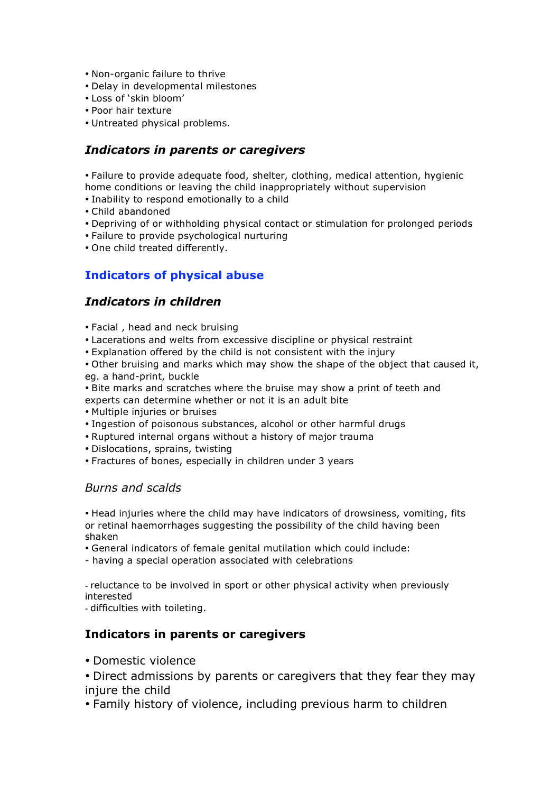- Non-organic failure to thrive
- Delay in developmental milestones
- Loss of 'skin bloom'
- Poor hair texture
- Untreated physical problems.

### *Indicators in parents or caregivers*

• Failure to provide adequate food, shelter, clothing, medical attention, hygienic home conditions or leaving the child inappropriately without supervision

- Inability to respond emotionally to a child
- Child abandoned
- Depriving of or withholding physical contact or stimulation for prolonged periods
- Failure to provide psychological nurturing
- One child treated differently.

### **Indicators of physical abuse**

### *Indicators in children*

- Facial , head and neck bruising
- Lacerations and welts from excessive discipline or physical restraint
- Explanation offered by the child is not consistent with the injury

• Other bruising and marks which may show the shape of the object that caused it, eg. a hand-print, buckle

• Bite marks and scratches where the bruise may show a print of teeth and experts can determine whether or not it is an adult bite

- Multiple injuries or bruises
- Ingestion of poisonous substances, alcohol or other harmful drugs
- Ruptured internal organs without a history of major trauma
- Dislocations, sprains, twisting
- Fractures of bones, especially in children under 3 years

#### *Burns and scalds*

• Head injuries where the child may have indicators of drowsiness, vomiting, fits or retinal haemorrhages suggesting the possibility of the child having been shaken

- General indicators of female genital mutilation which could include:
- having a special operation associated with celebrations

- reluctance to be involved in sport or other physical activity when previously interested

- difficulties with toileting.

#### **Indicators in parents or caregivers**

- Domestic violence
- Direct admissions by parents or caregivers that they fear they may injure the child
- Family history of violence, including previous harm to children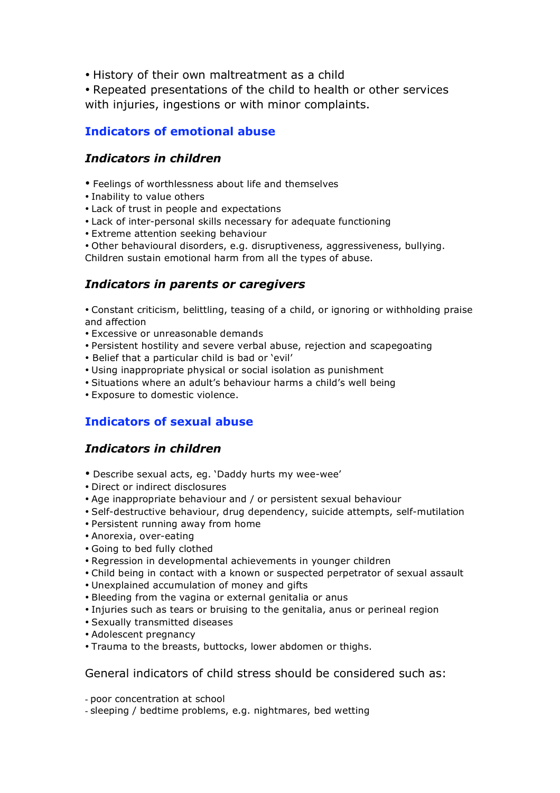• History of their own maltreatment as a child

• Repeated presentations of the child to health or other services with injuries, ingestions or with minor complaints.

### **Indicators of emotional abuse**

### *Indicators in children*

- Feelings of worthlessness about life and themselves
- Inability to value others
- Lack of trust in people and expectations
- Lack of inter-personal skills necessary for adequate functioning
- Extreme attention seeking behaviour
- Other behavioural disorders, e.g. disruptiveness, aggressiveness, bullying. Children sustain emotional harm from all the types of abuse.

### *Indicators in parents or caregivers*

• Constant criticism, belittling, teasing of a child, or ignoring or withholding praise and affection

- Excessive or unreasonable demands
- Persistent hostility and severe verbal abuse, rejection and scapegoating
- Belief that a particular child is bad or 'evil'
- Using inappropriate physical or social isolation as punishment
- Situations where an adult's behaviour harms a child's well being
- Exposure to domestic violence.

# **Indicators of sexual abuse**

### *Indicators in children*

- Describe sexual acts, eg. 'Daddy hurts my wee-wee'
- Direct or indirect disclosures
- Age inappropriate behaviour and / or persistent sexual behaviour
- Self-destructive behaviour, drug dependency, suicide attempts, self-mutilation
- Persistent running away from home
- Anorexia, over-eating
- Going to bed fully clothed
- Regression in developmental achievements in younger children
- Child being in contact with a known or suspected perpetrator of sexual assault
- Unexplained accumulation of money and gifts
- Bleeding from the vagina or external genitalia or anus
- Injuries such as tears or bruising to the genitalia, anus or perineal region
- Sexually transmitted diseases
- Adolescent pregnancy
- Trauma to the breasts, buttocks, lower abdomen or thighs.

#### General indicators of child stress should be considered such as:

- poor concentration at school

- sleeping / bedtime problems, e.g. nightmares, bed wetting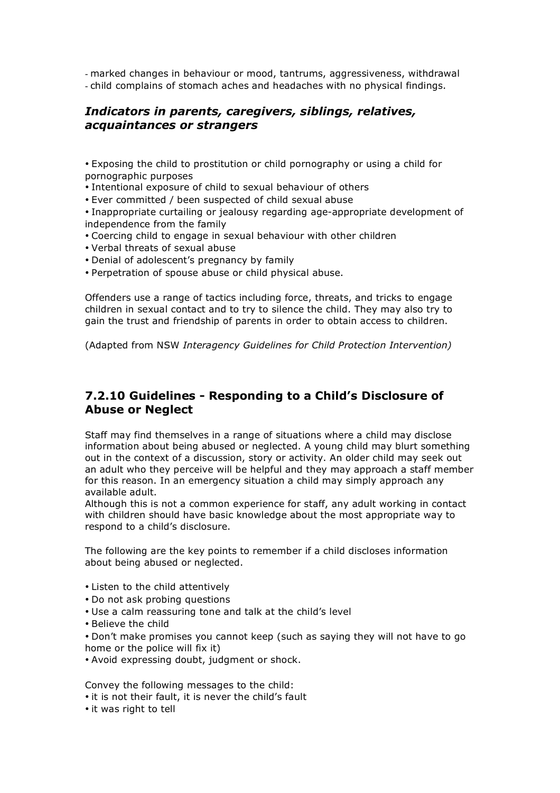- marked changes in behaviour or mood, tantrums, aggressiveness, withdrawal - child complains of stomach aches and headaches with no physical findings.

### *Indicators in parents, caregivers, siblings, relatives, acquaintances or strangers*

• Exposing the child to prostitution or child pornography or using a child for pornographic purposes

• Intentional exposure of child to sexual behaviour of others

• Ever committed / been suspected of child sexual abuse

• Inappropriate curtailing or jealousy regarding age-appropriate development of independence from the family

- Coercing child to engage in sexual behaviour with other children
- Verbal threats of sexual abuse
- Denial of adolescent's pregnancy by family

• Perpetration of spouse abuse or child physical abuse.

Offenders use a range of tactics including force, threats, and tricks to engage children in sexual contact and to try to silence the child. They may also try to gain the trust and friendship of parents in order to obtain access to children.

(Adapted from NSW *Interagency Guidelines for Child Protection Intervention)*

### **7.2.10 Guidelines - Responding to a Child's Disclosure of Abuse or Neglect**

Staff may find themselves in a range of situations where a child may disclose information about being abused or neglected. A young child may blurt something out in the context of a discussion, story or activity. An older child may seek out an adult who they perceive will be helpful and they may approach a staff member for this reason. In an emergency situation a child may simply approach any available adult.

Although this is not a common experience for staff, any adult working in contact with children should have basic knowledge about the most appropriate way to respond to a child's disclosure.

The following are the key points to remember if a child discloses information about being abused or neglected.

- Listen to the child attentively
- Do not ask probing questions
- Use a calm reassuring tone and talk at the child's level
- Believe the child

• Don't make promises you cannot keep (such as saying they will not have to go home or the police will fix it)

• Avoid expressing doubt, judgment or shock.

Convey the following messages to the child:

- it is not their fault, it is never the child's fault
- it was right to tell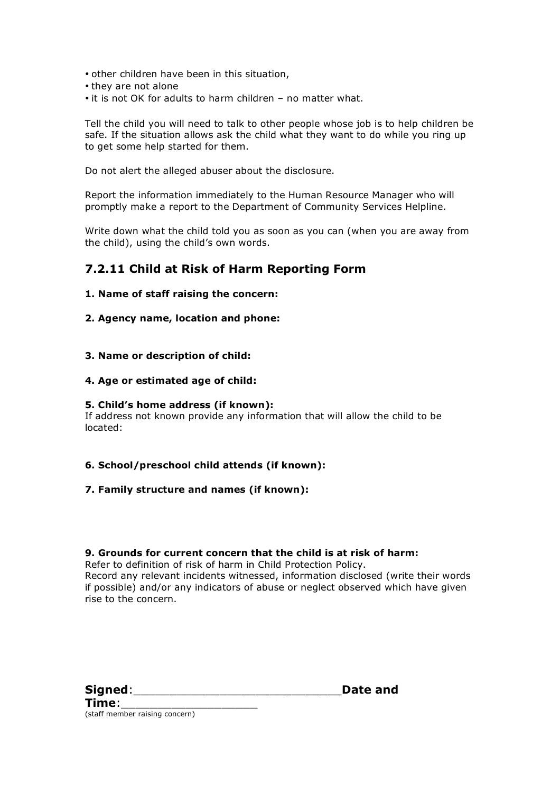- other children have been in this situation,
- they are not alone
- it is not OK for adults to harm children no matter what.

Tell the child you will need to talk to other people whose job is to help children be safe. If the situation allows ask the child what they want to do while you ring up to get some help started for them.

Do not alert the alleged abuser about the disclosure.

Report the information immediately to the Human Resource Manager who will promptly make a report to the Department of Community Services Helpline.

Write down what the child told you as soon as you can (when you are away from the child), using the child's own words.

### **7.2.11 Child at Risk of Harm Reporting Form**

#### **1. Name of staff raising the concern:**

#### **2. Agency name, location and phone:**

**3. Name or description of child:**

#### **4. Age or estimated age of child:**

#### **5. Child's home address (if known):**

If address not known provide any information that will allow the child to be located:

#### **6. School/preschool child attends (if known):**

#### **7. Family structure and names (if known):**

#### **9. Grounds for current concern that the child is at risk of harm:**

Refer to definition of risk of harm in Child Protection Policy. Record any relevant incidents witnessed, information disclosed (write their words if possible) and/or any indicators of abuse or neglect observed which have given rise to the concern.

| Signed:      |  |
|--------------|--|
| <b>Times</b> |  |

Date and

**Time**:\_\_\_\_\_\_\_\_\_\_\_\_\_\_\_\_\_\_\_ (staff member raising concern)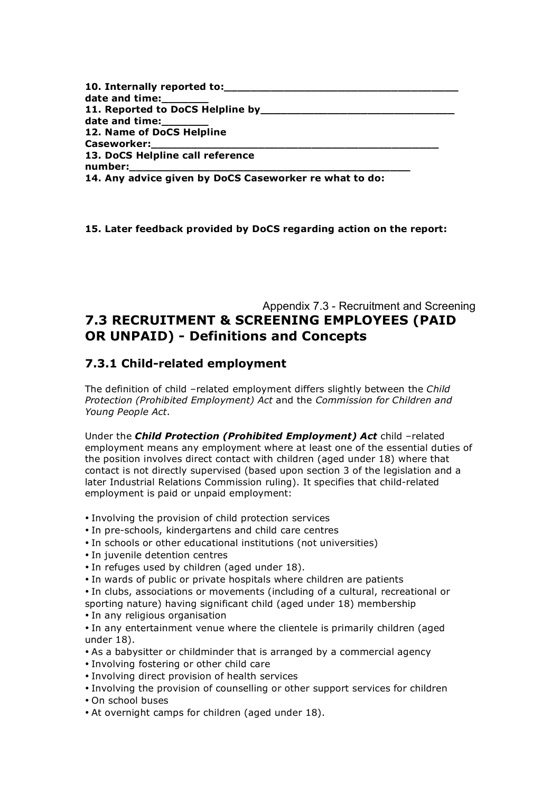| 10. Internally reported to:                            |  |
|--------------------------------------------------------|--|
| date and time:_______                                  |  |
|                                                        |  |
| date and time:_______                                  |  |
| 12. Name of DoCS Helpline                              |  |
| Caseworker:__________________                          |  |
| 13. DoCS Helpline call reference                       |  |
| number:__________________                              |  |
| 14. Any advice given by DoCS Caseworker re what to do: |  |

**15. Later feedback provided by DoCS regarding action on the report:**

# Appendix 7.3 - Recruitment and Screening **7.3 RECRUITMENT & SCREENING EMPLOYEES (PAID OR UNPAID) - Definitions and Concepts**

### **7.3.1 Child-related employment**

The definition of child –related employment differs slightly between the *Child Protection (Prohibited Employment) Act* and the *Commission for Children and Young People Act*.

Under the *Child Protection (Prohibited Employment) Act* child –related employment means any employment where at least one of the essential duties of the position involves direct contact with children (aged under 18) where that contact is not directly supervised (based upon section 3 of the legislation and a later Industrial Relations Commission ruling). It specifies that child-related employment is paid or unpaid employment:

- Involving the provision of child protection services
- In pre-schools, kindergartens and child care centres
- In schools or other educational institutions (not universities)
- In juvenile detention centres
- In refuges used by children (aged under 18).
- In wards of public or private hospitals where children are patients
- In clubs, associations or movements (including of a cultural, recreational or sporting nature) having significant child (aged under 18) membership
- In any religious organisation

• In any entertainment venue where the clientele is primarily children (aged under 18).

- As a babysitter or childminder that is arranged by a commercial agency
- Involving fostering or other child care
- Involving direct provision of health services
- Involving the provision of counselling or other support services for children
- On school buses
- At overnight camps for children (aged under 18).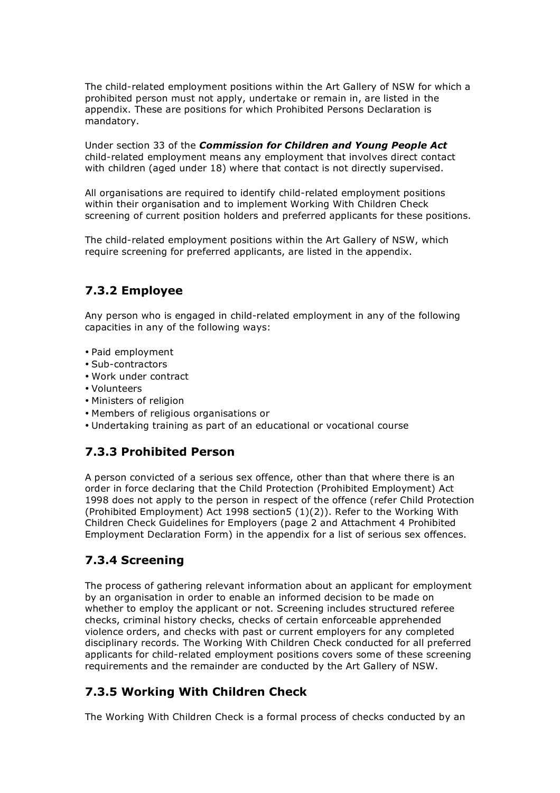The child-related employment positions within the Art Gallery of NSW for which a prohibited person must not apply, undertake or remain in, are listed in the appendix. These are positions for which Prohibited Persons Declaration is mandatory.

Under section 33 of the *Commission for Children and Young People Act* child-related employment means any employment that involves direct contact with children (aged under 18) where that contact is not directly supervised.

All organisations are required to identify child-related employment positions within their organisation and to implement Working With Children Check screening of current position holders and preferred applicants for these positions.

The child-related employment positions within the Art Gallery of NSW, which require screening for preferred applicants, are listed in the appendix.

### **7.3.2 Employee**

Any person who is engaged in child-related employment in any of the following capacities in any of the following ways:

- Paid employment
- Sub-contractors
- Work under contract
- Volunteers
- Ministers of religion
- Members of religious organisations or
- Undertaking training as part of an educational or vocational course

### **7.3.3 Prohibited Person**

A person convicted of a serious sex offence, other than that where there is an order in force declaring that the Child Protection (Prohibited Employment) Act 1998 does not apply to the person in respect of the offence (refer Child Protection (Prohibited Employment) Act 1998 section5 (1)(2)). Refer to the Working With Children Check Guidelines for Employers (page 2 and Attachment 4 Prohibited Employment Declaration Form) in the appendix for a list of serious sex offences.

# **7.3.4 Screening**

The process of gathering relevant information about an applicant for employment by an organisation in order to enable an informed decision to be made on whether to employ the applicant or not. Screening includes structured referee checks, criminal history checks, checks of certain enforceable apprehended violence orders, and checks with past or current employers for any completed disciplinary records. The Working With Children Check conducted for all preferred applicants for child-related employment positions covers some of these screening requirements and the remainder are conducted by the Art Gallery of NSW.

# **7.3.5 Working With Children Check**

The Working With Children Check is a formal process of checks conducted by an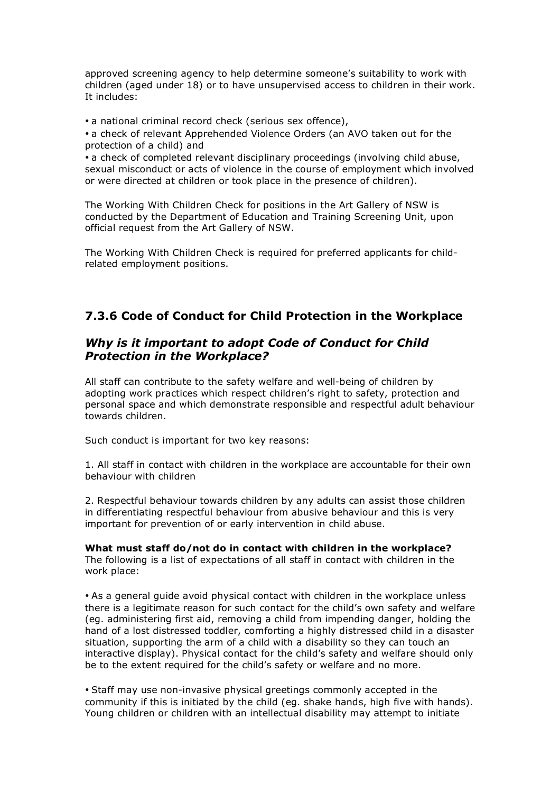approved screening agency to help determine someone's suitability to work with children (aged under 18) or to have unsupervised access to children in their work. It includes:

• a national criminal record check (serious sex offence),

• a check of relevant Apprehended Violence Orders (an AVO taken out for the protection of a child) and

• a check of completed relevant disciplinary proceedings (involving child abuse, sexual misconduct or acts of violence in the course of employment which involved or were directed at children or took place in the presence of children).

The Working With Children Check for positions in the Art Gallery of NSW is conducted by the Department of Education and Training Screening Unit, upon official request from the Art Gallery of NSW.

The Working With Children Check is required for preferred applicants for childrelated employment positions.

# **7.3.6 Code of Conduct for Child Protection in the Workplace**

### *Why is it important to adopt Code of Conduct for Child Protection in the Workplace?*

All staff can contribute to the safety welfare and well-being of children by adopting work practices which respect children's right to safety, protection and personal space and which demonstrate responsible and respectful adult behaviour towards children.

Such conduct is important for two key reasons:

1. All staff in contact with children in the workplace are accountable for their own behaviour with children

2. Respectful behaviour towards children by any adults can assist those children in differentiating respectful behaviour from abusive behaviour and this is very important for prevention of or early intervention in child abuse.

**What must staff do/not do in contact with children in the workplace?** The following is a list of expectations of all staff in contact with children in the work place:

• As a general guide avoid physical contact with children in the workplace unless there is a legitimate reason for such contact for the child's own safety and welfare (eg. administering first aid, removing a child from impending danger, holding the hand of a lost distressed toddler, comforting a highly distressed child in a disaster situation, supporting the arm of a child with a disability so they can touch an interactive display). Physical contact for the child's safety and welfare should only be to the extent required for the child's safety or welfare and no more.

• Staff may use non-invasive physical greetings commonly accepted in the community if this is initiated by the child (eg. shake hands, high five with hands). Young children or children with an intellectual disability may attempt to initiate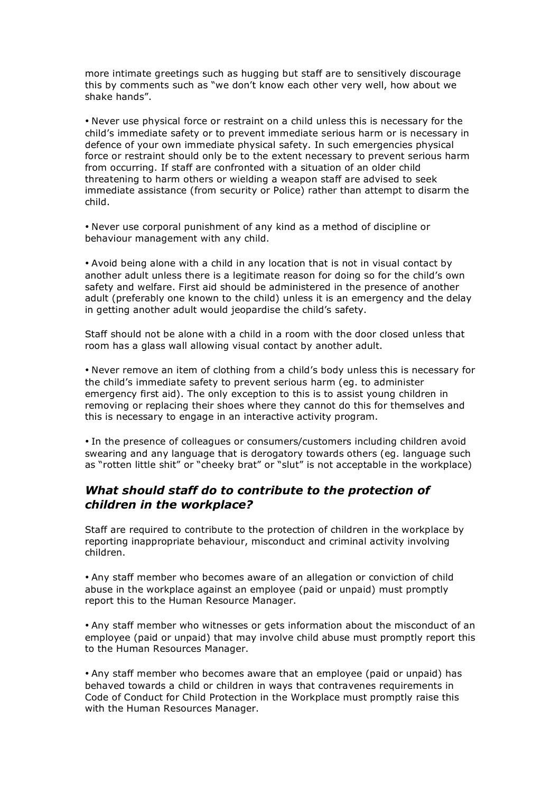more intimate greetings such as hugging but staff are to sensitively discourage this by comments such as "we don't know each other very well, how about we shake hands".

• Never use physical force or restraint on a child unless this is necessary for the child's immediate safety or to prevent immediate serious harm or is necessary in defence of your own immediate physical safety. In such emergencies physical force or restraint should only be to the extent necessary to prevent serious harm from occurring. If staff are confronted with a situation of an older child threatening to harm others or wielding a weapon staff are advised to seek immediate assistance (from security or Police) rather than attempt to disarm the child.

• Never use corporal punishment of any kind as a method of discipline or behaviour management with any child.

• Avoid being alone with a child in any location that is not in visual contact by another adult unless there is a legitimate reason for doing so for the child's own safety and welfare. First aid should be administered in the presence of another adult (preferably one known to the child) unless it is an emergency and the delay in getting another adult would jeopardise the child's safety.

Staff should not be alone with a child in a room with the door closed unless that room has a glass wall allowing visual contact by another adult.

• Never remove an item of clothing from a child's body unless this is necessary for the child's immediate safety to prevent serious harm (eg. to administer emergency first aid). The only exception to this is to assist young children in removing or replacing their shoes where they cannot do this for themselves and this is necessary to engage in an interactive activity program.

• In the presence of colleagues or consumers/customers including children avoid swearing and any language that is derogatory towards others (eg. language such as "rotten little shit" or "cheeky brat" or "slut" is not acceptable in the workplace)

#### *What should staff do to contribute to the protection of children in the workplace?*

Staff are required to contribute to the protection of children in the workplace by reporting inappropriate behaviour, misconduct and criminal activity involving children.

• Any staff member who becomes aware of an allegation or conviction of child abuse in the workplace against an employee (paid or unpaid) must promptly report this to the Human Resource Manager.

• Any staff member who witnesses or gets information about the misconduct of an employee (paid or unpaid) that may involve child abuse must promptly report this to the Human Resources Manager.

• Any staff member who becomes aware that an employee (paid or unpaid) has behaved towards a child or children in ways that contravenes requirements in Code of Conduct for Child Protection in the Workplace must promptly raise this with the Human Resources Manager.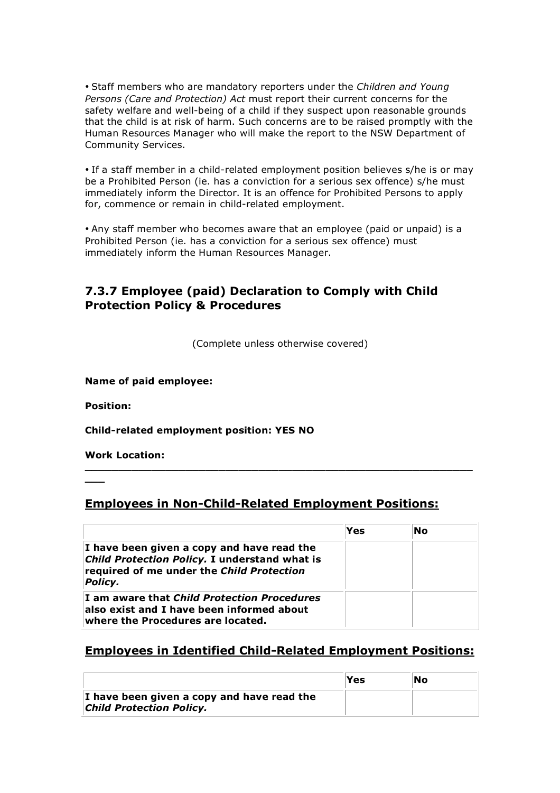• Staff members who are mandatory reporters under the *Children and Young Persons (Care and Protection) Act* must report their current concerns for the safety welfare and well-being of a child if they suspect upon reasonable grounds that the child is at risk of harm. Such concerns are to be raised promptly with the Human Resources Manager who will make the report to the NSW Department of Community Services.

• If a staff member in a child-related employment position believes s/he is or may be a Prohibited Person (ie. has a conviction for a serious sex offence) s/he must immediately inform the Director. It is an offence for Prohibited Persons to apply for, commence or remain in child-related employment.

• Any staff member who becomes aware that an employee (paid or unpaid) is a Prohibited Person (ie. has a conviction for a serious sex offence) must immediately inform the Human Resources Manager.

### **7.3.7 Employee (paid) Declaration to Comply with Child Protection Policy & Procedures**

(Complete unless otherwise covered)

**Name of paid employee:**

**Position:**

**\_\_\_**

**Child-related employment position: YES NO**

**Work Location:**

**Employees in Non-Child-Related Employment Positions:**

**\_\_\_\_\_\_\_\_\_\_\_\_\_\_\_\_\_\_\_\_\_\_\_\_\_\_\_\_\_\_\_\_\_\_\_\_\_\_\_\_\_\_\_\_\_\_\_\_\_\_\_\_\_\_\_\_\_\_**

|                                                                                                                                                     | Yes | No |
|-----------------------------------------------------------------------------------------------------------------------------------------------------|-----|----|
| I have been given a copy and have read the<br>Child Protection Policy. I understand what is<br>required of me under the Child Protection<br>Policy. |     |    |
| I am aware that Child Protection Procedures<br>also exist and I have been informed about<br>where the Procedures are located.                       |     |    |

### **Employees in Identified Child-Related Employment Positions:**

|                                                                               | Yes | No |
|-------------------------------------------------------------------------------|-----|----|
| I have been given a copy and have read the<br><b>Child Protection Policy.</b> |     |    |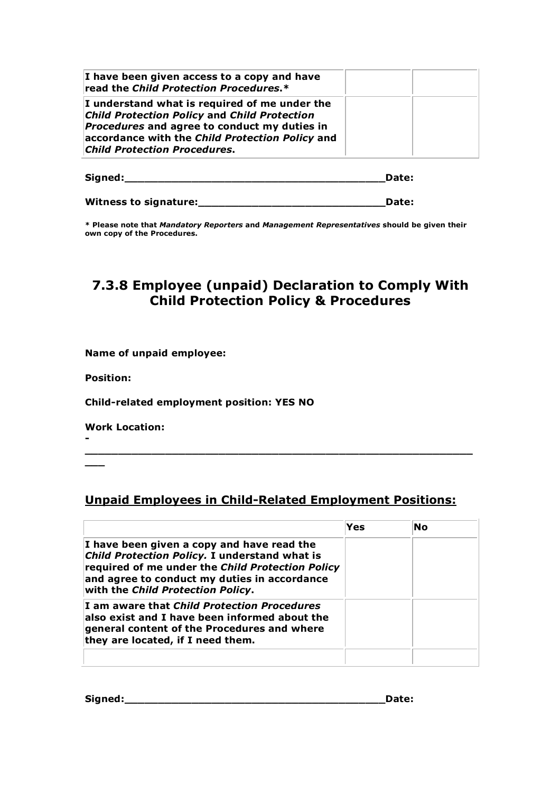| I have been given access to a copy and have<br>read the Child Protection Procedures.*                                                                                                                                                                 |  |
|-------------------------------------------------------------------------------------------------------------------------------------------------------------------------------------------------------------------------------------------------------|--|
| I understand what is required of me under the<br><b>Child Protection Policy and Child Protection</b><br><i>Procedures</i> and agree to conduct my duties in<br>accordance with the Child Protection Policy and<br><b>Child Protection Procedures.</b> |  |

| Signed: | Date: |
|---------|-------|
|         |       |

**Witness to signature:\_\_\_\_\_\_\_\_\_\_\_\_\_\_\_\_\_\_\_\_\_\_\_\_\_\_\_\_Date:**

**\* Please note that** *Mandatory Reporters* **and** *Management Representatives* **should be given their own copy of the Procedures.**

# **7.3.8 Employee (unpaid) Declaration to Comply With Child Protection Policy & Procedures**

**Name of unpaid employee:**

**Position:**

**-**

**\_\_\_**

**Child-related employment position: YES NO**

**Work Location:**

**Unpaid Employees in Child-Related Employment Positions:**

**\_\_\_\_\_\_\_\_\_\_\_\_\_\_\_\_\_\_\_\_\_\_\_\_\_\_\_\_\_\_\_\_\_\_\_\_\_\_\_\_\_\_\_\_\_\_\_\_\_\_\_\_\_\_\_\_\_\_**

|                                                                                                                                                                                                                                      | Yes | No |  |
|--------------------------------------------------------------------------------------------------------------------------------------------------------------------------------------------------------------------------------------|-----|----|--|
| I have been given a copy and have read the<br>Child Protection Policy. I understand what is<br>required of me under the Child Protection Policy<br>and agree to conduct my duties in accordance<br>with the Child Protection Policy. |     |    |  |
| I am aware that Child Protection Procedures<br>also exist and I have been informed about the<br>general content of the Procedures and where<br>they are located, if I need them.                                                     |     |    |  |
|                                                                                                                                                                                                                                      |     |    |  |

**Signed:\_\_\_\_\_\_\_\_\_\_\_\_\_\_\_\_\_\_\_\_\_\_\_\_\_\_\_\_\_\_\_\_\_\_\_\_\_\_\_Date:**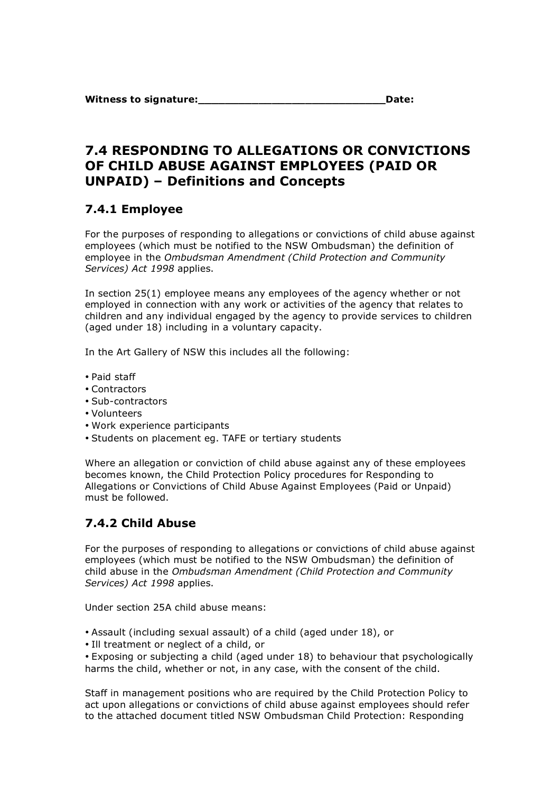# **7.4 RESPONDING TO ALLEGATIONS OR CONVICTIONS OF CHILD ABUSE AGAINST EMPLOYEES (PAID OR UNPAID) – Definitions and Concepts**

# **7.4.1 Employee**

For the purposes of responding to allegations or convictions of child abuse against employees (which must be notified to the NSW Ombudsman) the definition of employee in the *Ombudsman Amendment (Child Protection and Community Services) Act 1998* applies.

In section 25(1) employee means any employees of the agency whether or not employed in connection with any work or activities of the agency that relates to children and any individual engaged by the agency to provide services to children (aged under 18) including in a voluntary capacity.

In the Art Gallery of NSW this includes all the following:

- Paid staff
- Contractors
- Sub-contractors
- Volunteers
- Work experience participants
- Students on placement eg. TAFE or tertiary students

Where an allegation or conviction of child abuse against any of these employees becomes known, the Child Protection Policy procedures for Responding to Allegations or Convictions of Child Abuse Against Employees (Paid or Unpaid) must be followed.

# **7.4.2 Child Abuse**

For the purposes of responding to allegations or convictions of child abuse against employees (which must be notified to the NSW Ombudsman) the definition of child abuse in the *Ombudsman Amendment (Child Protection and Community Services) Act 1998* applies.

Under section 25A child abuse means:

- Assault (including sexual assault) of a child (aged under 18), or
- Ill treatment or neglect of a child, or

• Exposing or subjecting a child (aged under 18) to behaviour that psychologically harms the child, whether or not, in any case, with the consent of the child.

Staff in management positions who are required by the Child Protection Policy to act upon allegations or convictions of child abuse against employees should refer to the attached document titled NSW Ombudsman Child Protection: Responding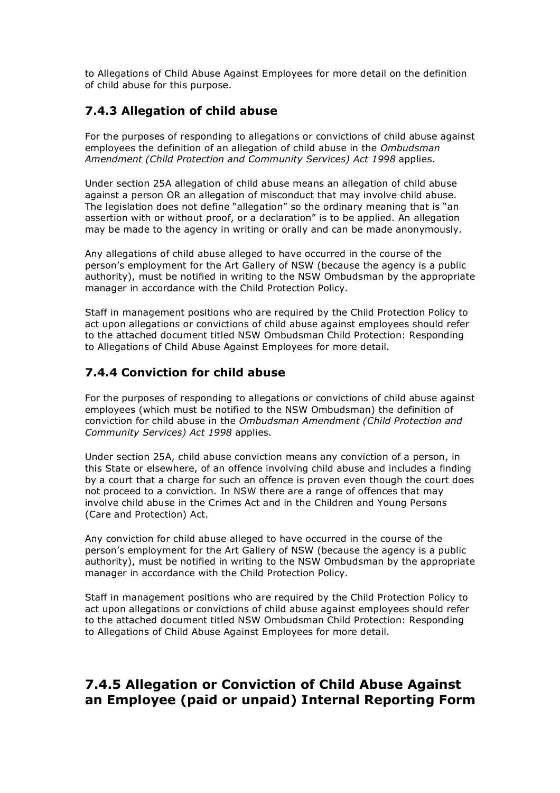to Allegations of Child Abuse Against Employees for more detail on the definition of child abuse for this purpose.

### **7.4.3 Allegation of child abuse**

For the purposes of responding to allegations or convictions of child abuse against employees the definition of an allegation of child abuse in the *Ombudsman Amendment (Child Protection and Community Services) Act 1998* applies.

Under section 25A allegation of child abuse means an allegation of child abuse against a person OR an allegation of misconduct that may involve child abuse. The legislation does not define "allegation" so the ordinary meaning that is "an assertion with or without proof, or a declaration" is to be applied. An allegation may be made to the agency in writing or orally and can be made anonymously.

Any allegations of child abuse alleged to have occurred in the course of the person's employment for the Art Gallery of NSW (because the agency is a public authority), must be notified in writing to the NSW Ombudsman by the appropriate manager in accordance with the Child Protection Policy.

Staff in management positions who are required by the Child Protection Policy to act upon allegations or convictions of child abuse against employees should refer to the attached document titled NSW Ombudsman Child Protection: Responding to Allegations of Child Abuse Against Employees for more detail.

### **7.4.4 Conviction for child abuse**

For the purposes of responding to allegations or convictions of child abuse against employees (which must be notified to the NSW Ombudsman) the definition of conviction for child abuse in the *Ombudsman Amendment (Child Protection and Community Services) Act 1998* applies.

Under section 25A, child abuse conviction means any conviction of a person, in this State or elsewhere, of an offence involving child abuse and includes a finding by a court that a charge for such an offence is proven even though the court does not proceed to a conviction. In NSW there are a range of offences that may involve child abuse in the Crimes Act and in the Children and Young Persons (Care and Protection) Act.

Any conviction for child abuse alleged to have occurred in the course of the person's employment for the Art Gallery of NSW (because the agency is a public authority), must be notified in writing to the NSW Ombudsman by the appropriate manager in accordance with the Child Protection Policy.

Staff in management positions who are required by the Child Protection Policy to act upon allegations or convictions of child abuse against employees should refer to the attached document titled NSW Ombudsman Child Protection: Responding to Allegations of Child Abuse Against Employees for more detail.

# **7.4.5 Allegation or Conviction of Child Abuse Against an Employee (paid or unpaid) Internal Reporting Form**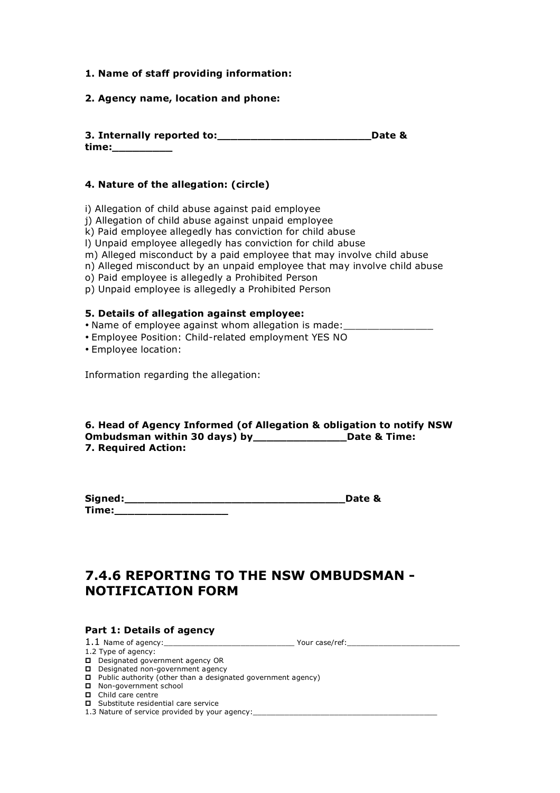#### **1. Name of staff providing information:**

#### **2. Agency name, location and phone:**

**3. Internally reported to:\_\_\_\_\_\_\_\_\_\_\_\_\_\_\_\_\_\_\_\_\_\_\_Date & time:\_\_\_\_\_\_\_\_\_**

#### **4. Nature of the allegation: (circle)**

i) Allegation of child abuse against paid employee

j) Allegation of child abuse against unpaid employee

k) Paid employee allegedly has conviction for child abuse

l) Unpaid employee allegedly has conviction for child abuse

m) Alleged misconduct by a paid employee that may involve child abuse

n) Alleged misconduct by an unpaid employee that may involve child abuse

o) Paid employee is allegedly a Prohibited Person

p) Unpaid employee is allegedly a Prohibited Person

#### **5. Details of allegation against employee:**

- Name of employee against whom allegation is made:
- Employee Position: Child-related employment YES NO

• Employee location:

Information regarding the allegation:

#### **6. Head of Agency Informed (of Allegation & obligation to notify NSW Ombudsman within 30 days) by\_\_\_\_\_\_\_\_\_\_\_\_\_\_Date & Time: 7. Required Action:**

| Signed: | Date & |
|---------|--------|
| Time:   |        |

# **7.4.6 REPORTING TO THE NSW OMBUDSMAN - NOTIFICATION FORM**

#### **Part 1: Details of agency**

1.1 Name of agency: The same of agency in the same of  $\frac{1}{2}$  and  $\frac{1}{2}$  and  $\frac{1}{2}$  and  $\frac{1}{2}$  and  $\frac{1}{2}$  and  $\frac{1}{2}$  and  $\frac{1}{2}$  and  $\frac{1}{2}$  and  $\frac{1}{2}$  and  $\frac{1}{2}$  and  $\frac{1}{2}$  and  $\frac{1}{2}$  and

1.2 Type of agency:

Designated government agency OR  $\Box$  Designated non-government agency

- $\Box$  Public authority (other than a designated government agency)
- Non-government school
- Child care centre
- □ Substitute residential care service

1.3 Nature of service provided by your agency: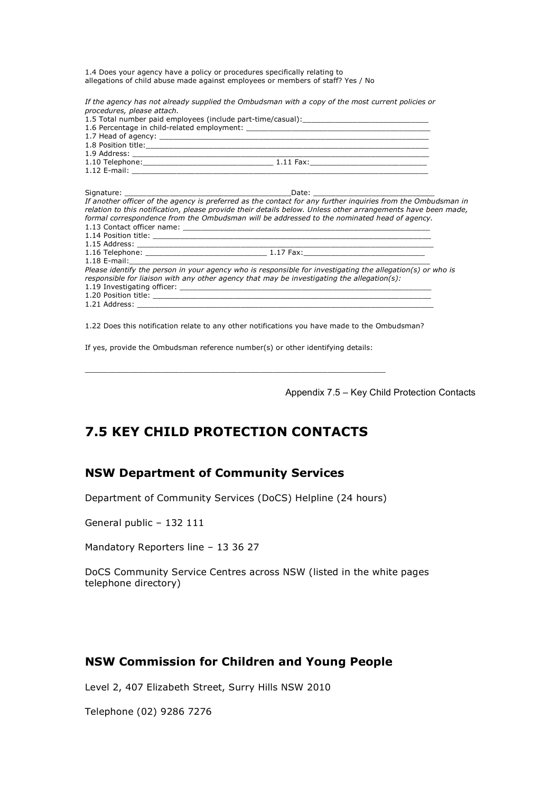1.4 Does your agency have a policy or procedures specifically relating to allegations of child abuse made against employees or members of staff? Yes / No

*If the agency has not already supplied the Ombudsman with a copy of the most current policies or procedures, please attach.*

| 1.5 Total number paid employees (include part-time/casual): _____________________                            |
|--------------------------------------------------------------------------------------------------------------|
|                                                                                                              |
|                                                                                                              |
|                                                                                                              |
|                                                                                                              |
|                                                                                                              |
|                                                                                                              |
|                                                                                                              |
|                                                                                                              |
| If another officer of the agency is preferred as the contact for any further inguiries from the Ombudsman in |
| relation to this notification, please provide their details below. Unless other arrangements have been made, |
| formal correspondence from the Ombudsman will be addressed to the nominated head of agency.                  |
|                                                                                                              |
|                                                                                                              |
|                                                                                                              |
|                                                                                                              |
|                                                                                                              |
| Please identify the person in your agency who is responsible for investigating the allegation(s) or who is   |
| responsible for liaison with any other agency that may be investigating the allegation(s):                   |
|                                                                                                              |
|                                                                                                              |
|                                                                                                              |

 $1.21$  Address:  $\_$ 

1.22 Does this notification relate to any other notifications you have made to the Ombudsman?

If yes, provide the Ombudsman reference number(s) or other identifying details:

\_\_\_\_\_\_\_\_\_\_\_\_\_\_\_\_\_\_\_\_\_\_\_\_\_\_\_\_\_\_\_\_\_\_\_\_\_\_\_\_\_\_\_\_\_\_\_\_\_\_\_\_\_\_\_\_\_\_\_\_\_\_\_\_\_\_\_

Appendix 7.5 – Key Child Protection Contacts

# **7.5 KEY CHILD PROTECTION CONTACTS**

#### **NSW Department of Community Services**

Department of Community Services (DoCS) Helpline (24 hours)

General public – 132 111

Mandatory Reporters line – 13 36 27

DoCS Community Service Centres across NSW (listed in the white pages telephone directory)

#### **NSW Commission for Children and Young People**

Level 2, 407 Elizabeth Street, Surry Hills NSW 2010

Telephone (02) 9286 7276